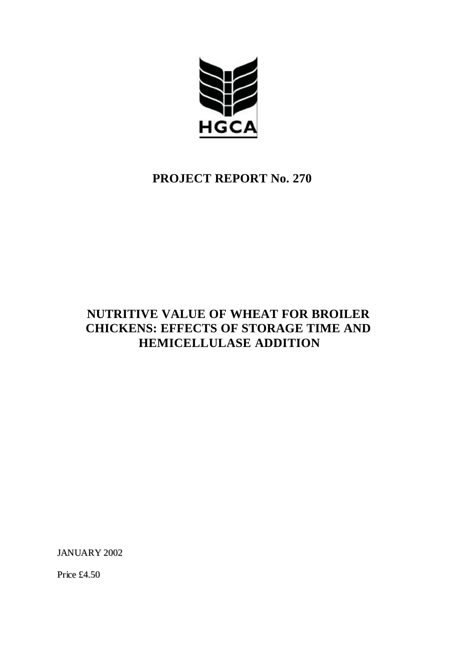

# **PROJECT REPORT No. 270**

# **NUTRITIVE VALUE OF WHEAT FOR BROILER CHICKENS: EFFECTS OF STORAGE TIME AND HEMICELLULASE ADDITION**

JANUARY 2002

Price £4.50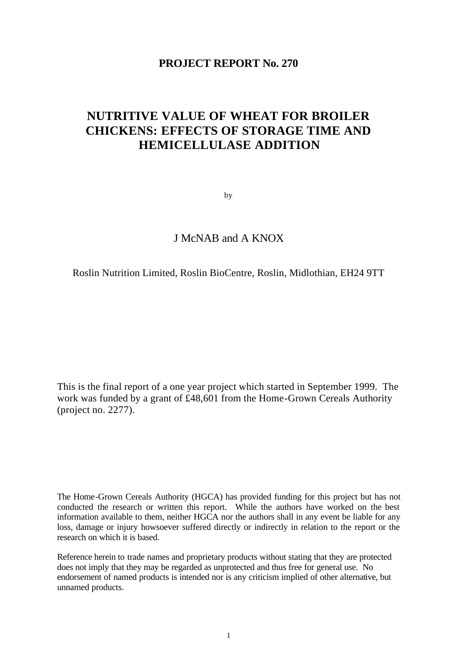# **PROJECT REPORT No. 270**

# **NUTRITIVE VALUE OF WHEAT FOR BROILER CHICKENS: EFFECTS OF STORAGE TIME AND HEMICELLULASE ADDITION**

by

# J McNAB and A KNOX

#### Roslin Nutrition Limited, Roslin BioCentre, Roslin, Midlothian, EH24 9TT

This is the final report of a one year project which started in September 1999. The work was funded by a grant of £48,601 from the Home-Grown Cereals Authority (project no. 2277).

The Home-Grown Cereals Authority (HGCA) has provided funding for this project but has not conducted the research or written this report. While the authors have worked on the best information available to them, neither HGCA nor the authors shall in any event be liable for any loss, damage or injury howsoever suffered directly or indirectly in relation to the report or the research on which it is based.

Reference herein to trade names and proprietary products without stating that they are protected does not imply that they may be regarded as unprotected and thus free for general use. No endorsement of named products is intended nor is any criticism implied of other alternative, but unnamed products.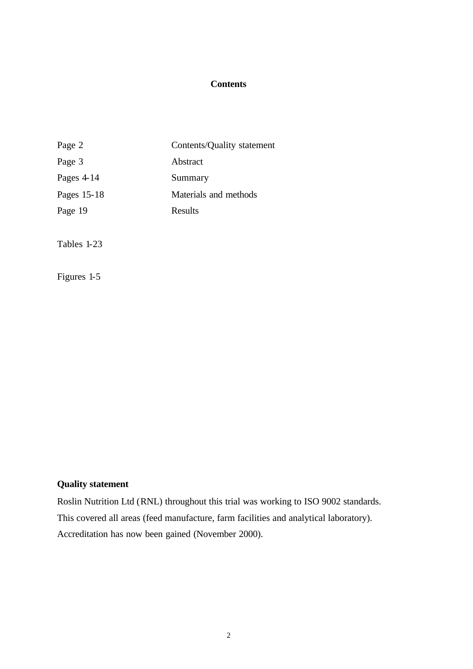# **Contents**

| Page 2<br>Contents/Quality statement |  |
|--------------------------------------|--|
| Page 3<br>Abstract                   |  |
| Pages $4-14$<br>Summary              |  |
| Pages 15-18<br>Materials and methods |  |
| Page 19<br>Results                   |  |

Tables 1-23

Figures 1-5

# **Quality statement**

Roslin Nutrition Ltd (RNL) throughout this trial was working to ISO 9002 standards. This covered all areas (feed manufacture, farm facilities and analytical laboratory). Accreditation has now been gained (November 2000).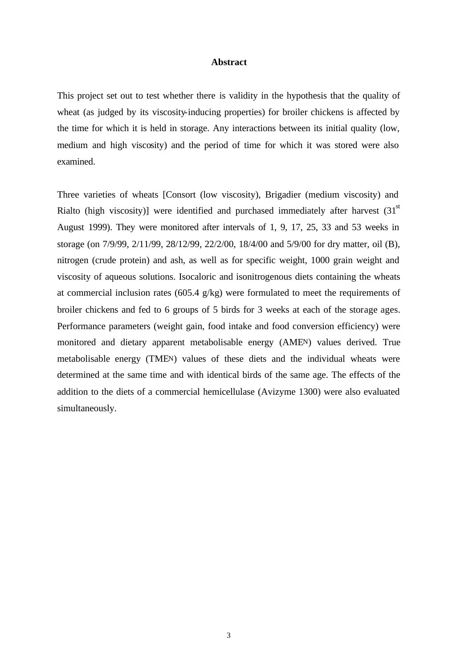#### **Abstract**

This project set out to test whether there is validity in the hypothesis that the quality of wheat (as judged by its viscosity-inducing properties) for broiler chickens is affected by the time for which it is held in storage. Any interactions between its initial quality (low, medium and high viscosity) and the period of time for which it was stored were also examined.

Three varieties of wheats [Consort (low viscosity), Brigadier (medium viscosity) and Rialto (high viscosity)] were identified and purchased immediately after harvest  $(31<sup>st</sup>$ August 1999). They were monitored after intervals of 1, 9, 17, 25, 33 and 53 weeks in storage (on 7/9/99, 2/11/99, 28/12/99, 22/2/00, 18/4/00 and 5/9/00 for dry matter, oil (B), nitrogen (crude protein) and ash, as well as for specific weight, 1000 grain weight and viscosity of aqueous solutions. Isocaloric and isonitrogenous diets containing the wheats at commercial inclusion rates (605.4 g/kg) were formulated to meet the requirements of broiler chickens and fed to 6 groups of 5 birds for 3 weeks at each of the storage ages. Performance parameters (weight gain, food intake and food conversion efficiency) were monitored and dietary apparent metabolisable energy (AMEN) values derived. True metabolisable energy (TMEN) values of these diets and the individual wheats were determined at the same time and with identical birds of the same age. The effects of the addition to the diets of a commercial hemicellulase (Avizyme 1300) were also evaluated simultaneously.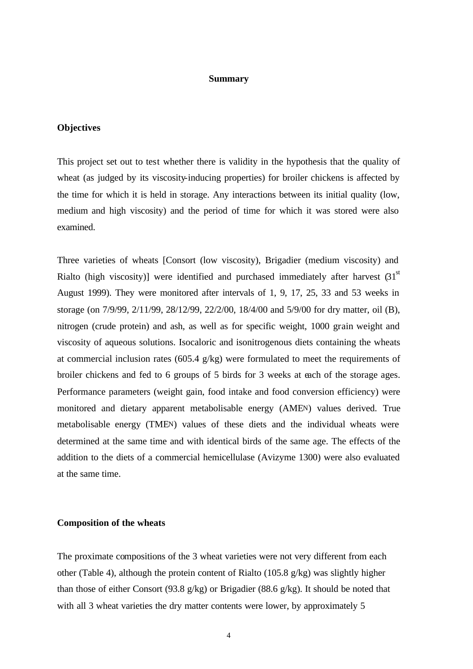#### **Summary**

## **Objectives**

This project set out to test whether there is validity in the hypothesis that the quality of wheat (as judged by its viscosity-inducing properties) for broiler chickens is affected by the time for which it is held in storage. Any interactions between its initial quality (low, medium and high viscosity) and the period of time for which it was stored were also examined.

Three varieties of wheats [Consort (low viscosity), Brigadier (medium viscosity) and Rialto (high viscosity)] were identified and purchased immediately after harvest  $(31<sup>st</sup>$ August 1999). They were monitored after intervals of 1, 9, 17, 25, 33 and 53 weeks in storage (on 7/9/99, 2/11/99, 28/12/99, 22/2/00, 18/4/00 and 5/9/00 for dry matter, oil (B), nitrogen (crude protein) and ash, as well as for specific weight, 1000 grain weight and viscosity of aqueous solutions. Isocaloric and isonitrogenous diets containing the wheats at commercial inclusion rates (605.4  $g/kg$ ) were formulated to meet the requirements of broiler chickens and fed to 6 groups of 5 birds for 3 weeks at each of the storage ages. Performance parameters (weight gain, food intake and food conversion efficiency) were monitored and dietary apparent metabolisable energy (AMEN) values derived. True metabolisable energy (TMEN) values of these diets and the individual wheats were determined at the same time and with identical birds of the same age. The effects of the addition to the diets of a commercial hemicellulase (Avizyme 1300) were also evaluated at the same time.

#### **Composition of the wheats**

The proximate compositions of the 3 wheat varieties were not very different from each other (Table 4), although the protein content of Rialto (105.8 g/kg) was slightly higher than those of either Consort (93.8 g/kg) or Brigadier (88.6 g/kg). It should be noted that with all 3 wheat varieties the dry matter contents were lower, by approximately 5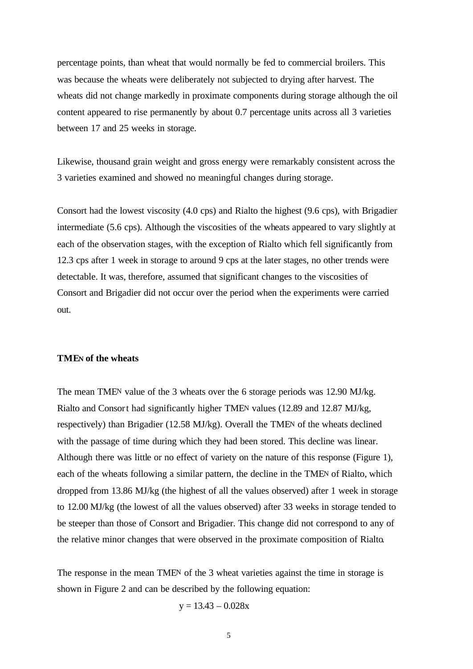percentage points, than wheat that would normally be fed to commercial broilers. This was because the wheats were deliberately not subjected to drying after harvest. The wheats did not change markedly in proximate components during storage although the oil content appeared to rise permanently by about 0.7 percentage units across all 3 varieties between 17 and 25 weeks in storage.

Likewise, thousand grain weight and gross energy were remarkably consistent across the 3 varieties examined and showed no meaningful changes during storage.

Consort had the lowest viscosity (4.0 cps) and Rialto the highest (9.6 cps), with Brigadier intermediate (5.6 cps). Although the viscosities of the wheats appeared to vary slightly at each of the observation stages, with the exception of Rialto which fell significantly from 12.3 cps after 1 week in storage to around 9 cps at the later stages, no other trends were detectable. It was, therefore, assumed that significant changes to the viscosities of Consort and Brigadier did not occur over the period when the experiments were carried out.

#### **TMEN of the wheats**

The mean TMEN value of the 3 wheats over the 6 storage periods was 12.90 MJ/kg. Rialto and Consort had significantly higher TMEN values (12.89 and 12.87 MJ/kg, respectively) than Brigadier (12.58 MJ/kg). Overall the TMEN of the wheats declined with the passage of time during which they had been stored. This decline was linear. Although there was little or no effect of variety on the nature of this response (Figure 1), each of the wheats following a similar pattern, the decline in the TMEN of Rialto, which dropped from 13.86 MJ/kg (the highest of all the values observed) after 1 week in storage to 12.00 MJ/kg (the lowest of all the values observed) after 33 weeks in storage tended to be steeper than those of Consort and Brigadier. This change did not correspond to any of the relative minor changes that were observed in the proximate composition of Rialto.

The response in the mean TMEN of the 3 wheat varieties against the time in storage is shown in Figure 2 and can be described by the following equation:

 $y = 13.43 - 0.028x$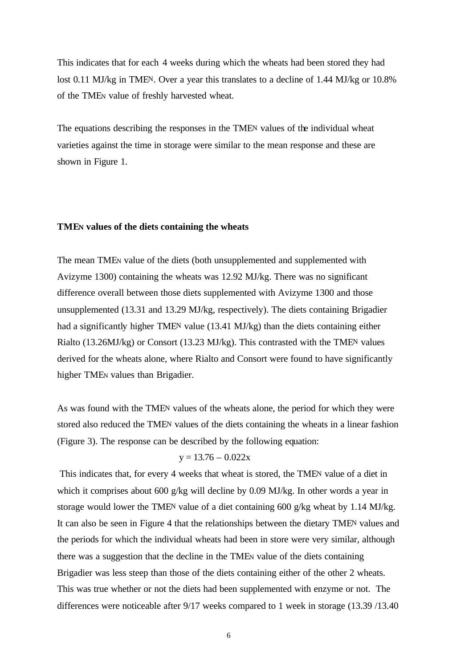This indicates that for each 4 weeks during which the wheats had been stored they had lost 0.11 MJ/kg in TMEN. Over a year this translates to a decline of 1.44 MJ/kg or 10.8% of the TMEN value of freshly harvested wheat.

The equations describing the responses in the TMEN values of the individual wheat varieties against the time in storage were similar to the mean response and these are shown in Figure 1.

#### **TMEN values of the diets containing the wheats**

The mean TMEN value of the diets (both unsupplemented and supplemented with Avizyme 1300) containing the wheats was 12.92 MJ/kg. There was no significant difference overall between those diets supplemented with Avizyme 1300 and those unsupplemented (13.31 and 13.29 MJ/kg, respectively). The diets containing Brigadier had a significantly higher TMEN value (13.41 MJ/kg) than the diets containing either Rialto (13.26MJ/kg) or Consort (13.23 MJ/kg). This contrasted with the TMEN values derived for the wheats alone, where Rialto and Consort were found to have significantly higher TMEN values than Brigadier.

As was found with the TMEN values of the wheats alone, the period for which they were stored also reduced the TMEN values of the diets containing the wheats in a linear fashion (Figure 3). The response can be described by the following equation:

$$
y = 13.76 - 0.022x
$$

 This indicates that, for every 4 weeks that wheat is stored, the TMEN value of a diet in which it comprises about 600 g/kg will decline by 0.09 MJ/kg. In other words a year in storage would lower the TMEN value of a diet containing 600 g/kg wheat by 1.14 MJ/kg. It can also be seen in Figure 4 that the relationships between the dietary TMEN values and the periods for which the individual wheats had been in store were very similar, although there was a suggestion that the decline in the TMEN value of the diets containing Brigadier was less steep than those of the diets containing either of the other 2 wheats. This was true whether or not the diets had been supplemented with enzyme or not. The differences were noticeable after 9/17 weeks compared to 1 week in storage (13.39 /13.40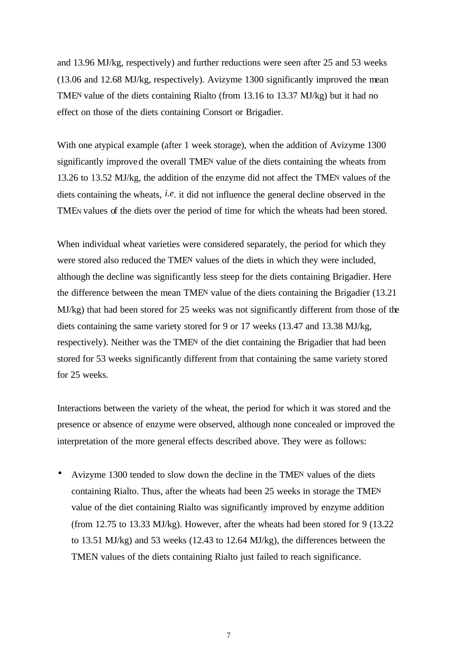and 13.96 MJ/kg, respectively) and further reductions were seen after 25 and 53 weeks (13.06 and 12.68 MJ/kg, respectively). Avizyme 1300 significantly improved the mean TMEN value of the diets containing Rialto (from 13.16 to 13.37 MJ/kg) but it had no effect on those of the diets containing Consort or Brigadier.

With one atypical example (after 1 week storage), when the addition of Avizyme 1300 significantly improved the overall TMEN value of the diets containing the wheats from 13.26 to 13.52 MJ/kg, the addition of the enzyme did not affect the TMEN values of the diets containing the wheats, *i.e*. it did not influence the general decline observed in the TMEN values of the diets over the period of time for which the wheats had been stored.

When individual wheat varieties were considered separately, the period for which they were stored also reduced the TMEN values of the diets in which they were included, although the decline was significantly less steep for the diets containing Brigadier. Here the difference between the mean TMEN value of the diets containing the Brigadier (13.21 MJ/kg) that had been stored for 25 weeks was not significantly different from those of the diets containing the same variety stored for 9 or 17 weeks (13.47 and 13.38 MJ/kg, respectively). Neither was the TMEN of the diet containing the Brigadier that had been stored for 53 weeks significantly different from that containing the same variety stored for 25 weeks.

Interactions between the variety of the wheat, the period for which it was stored and the presence or absence of enzyme were observed, although none concealed or improved the interpretation of the more general effects described above. They were as follows:

• Avizyme 1300 tended to slow down the decline in the TMEN values of the diets containing Rialto. Thus, after the wheats had been 25 weeks in storage the TMEN value of the diet containing Rialto was significantly improved by enzyme addition (from 12.75 to 13.33 MJ/kg). However, after the wheats had been stored for 9 (13.22 to 13.51 MJ/kg) and 53 weeks (12.43 to 12.64 MJ/kg), the differences between the TMEN values of the diets containing Rialto just failed to reach significance.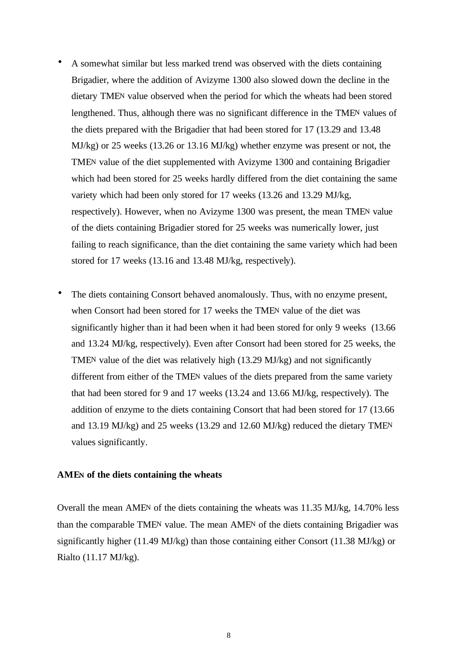- A somewhat similar but less marked trend was observed with the diets containing Brigadier, where the addition of Avizyme 1300 also slowed down the decline in the dietary TMEN value observed when the period for which the wheats had been stored lengthened. Thus, although there was no significant difference in the TMEN values of the diets prepared with the Brigadier that had been stored for 17 (13.29 and 13.48 MJ/kg) or 25 weeks (13.26 or 13.16 MJ/kg) whether enzyme was present or not, the TMEN value of the diet supplemented with Avizyme 1300 and containing Brigadier which had been stored for 25 weeks hardly differed from the diet containing the same variety which had been only stored for 17 weeks (13.26 and 13.29 MJ/kg, respectively). However, when no Avizyme 1300 was present, the mean TMEN value of the diets containing Brigadier stored for 25 weeks was numerically lower, just failing to reach significance, than the diet containing the same variety which had been stored for 17 weeks (13.16 and 13.48 MJ/kg, respectively).
- The diets containing Consort behaved anomalously. Thus, with no enzyme present, when Consort had been stored for 17 weeks the TMEN value of the diet was significantly higher than it had been when it had been stored for only 9 weeks (13.66 and 13.24 MJ/kg, respectively). Even after Consort had been stored for 25 weeks, the TMEN value of the diet was relatively high (13.29 MJ/kg) and not significantly different from either of the TMEN values of the diets prepared from the same variety that had been stored for 9 and 17 weeks (13.24 and 13.66 MJ/kg, respectively). The addition of enzyme to the diets containing Consort that had been stored for 17 (13.66 and 13.19 MJ/kg) and 25 weeks (13.29 and 12.60 MJ/kg) reduced the dietary TMEN values significantly.

#### **AMEN of the diets containing the wheats**

Overall the mean AMEN of the diets containing the wheats was 11.35 MJ/kg, 14.70% less than the comparable TMEN value. The mean AMEN of the diets containing Brigadier was significantly higher (11.49 MJ/kg) than those containing either Consort (11.38 MJ/kg) or Rialto (11.17 MJ/kg).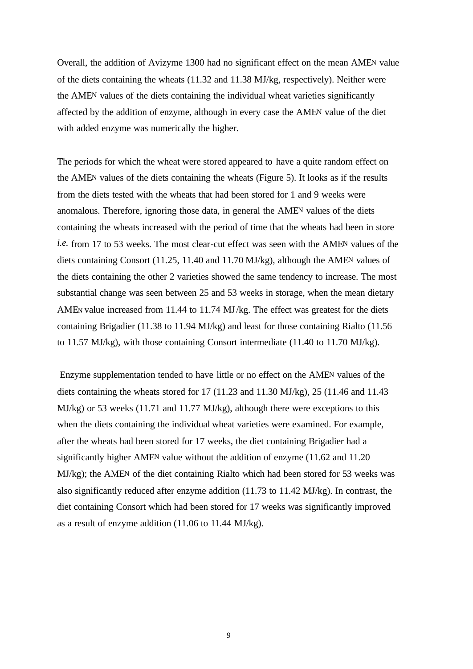Overall, the addition of Avizyme 1300 had no significant effect on the mean AMEN value of the diets containing the wheats (11.32 and 11.38 MJ/kg, respectively). Neither were the AMEN values of the diets containing the individual wheat varieties significantly affected by the addition of enzyme, although in every case the AMEN value of the diet with added enzyme was numerically the higher.

The periods for which the wheat were stored appeared to have a quite random effect on the AMEN values of the diets containing the wheats (Figure 5). It looks as if the results from the diets tested with the wheats that had been stored for 1 and 9 weeks were anomalous. Therefore, ignoring those data, in general the AMEN values of the diets containing the wheats increased with the period of time that the wheats had been in store *i.e.* from 17 to 53 weeks. The most clear-cut effect was seen with the AMEN values of the diets containing Consort (11.25, 11.40 and 11.70 MJ/kg), although the AMEN values of the diets containing the other 2 varieties showed the same tendency to increase. The most substantial change was seen between 25 and 53 weeks in storage, when the mean dietary AMEN value increased from 11.44 to 11.74 MJ/kg. The effect was greatest for the diets containing Brigadier (11.38 to 11.94 MJ/kg) and least for those containing Rialto (11.56 to 11.57 MJ/kg), with those containing Consort intermediate (11.40 to 11.70 MJ/kg).

 Enzyme supplementation tended to have little or no effect on the AMEN values of the diets containing the wheats stored for 17 (11.23 and 11.30 MJ/kg), 25 (11.46 and 11.43 MJ/kg) or 53 weeks (11.71 and 11.77 MJ/kg), although there were exceptions to this when the diets containing the individual wheat varieties were examined. For example, after the wheats had been stored for 17 weeks, the diet containing Brigadier had a significantly higher AMEN value without the addition of enzyme (11.62 and 11.20 MJ/kg); the AMEN of the diet containing Rialto which had been stored for 53 weeks was also significantly reduced after enzyme addition (11.73 to 11.42 MJ/kg). In contrast, the diet containing Consort which had been stored for 17 weeks was significantly improved as a result of enzyme addition (11.06 to 11.44 MJ/kg).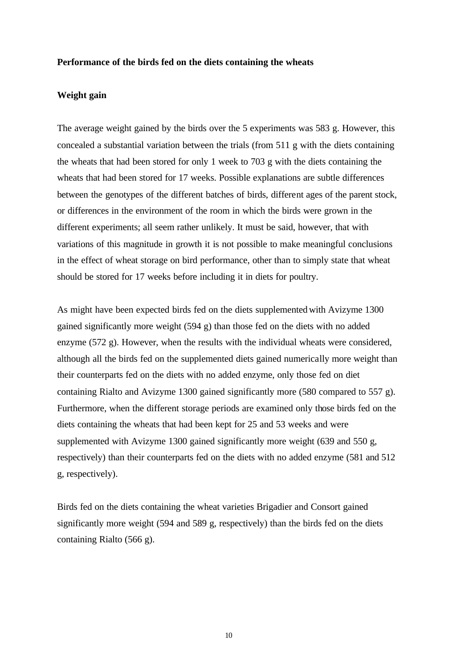#### **Performance of the birds fed on the diets containing the wheats**

#### **Weight gain**

The average weight gained by the birds over the 5 experiments was 583 g. However, this concealed a substantial variation between the trials (from 511 g with the diets containing the wheats that had been stored for only 1 week to 703 g with the diets containing the wheats that had been stored for 17 weeks. Possible explanations are subtle differences between the genotypes of the different batches of birds, different ages of the parent stock, or differences in the environment of the room in which the birds were grown in the different experiments; all seem rather unlikely. It must be said, however, that with variations of this magnitude in growth it is not possible to make meaningful conclusions in the effect of wheat storage on bird performance, other than to simply state that wheat should be stored for 17 weeks before including it in diets for poultry.

As might have been expected birds fed on the diets supplemented with Avizyme 1300 gained significantly more weight (594 g) than those fed on the diets with no added enzyme (572 g). However, when the results with the individual wheats were considered, although all the birds fed on the supplemented diets gained numerically more weight than their counterparts fed on the diets with no added enzyme, only those fed on diet containing Rialto and Avizyme 1300 gained significantly more (580 compared to 557 g). Furthermore, when the different storage periods are examined only those birds fed on the diets containing the wheats that had been kept for 25 and 53 weeks and were supplemented with Avizyme 1300 gained significantly more weight (639 and 550 g, respectively) than their counterparts fed on the diets with no added enzyme (581 and 512 g, respectively).

Birds fed on the diets containing the wheat varieties Brigadier and Consort gained significantly more weight (594 and 589 g, respectively) than the birds fed on the diets containing Rialto (566 g).

10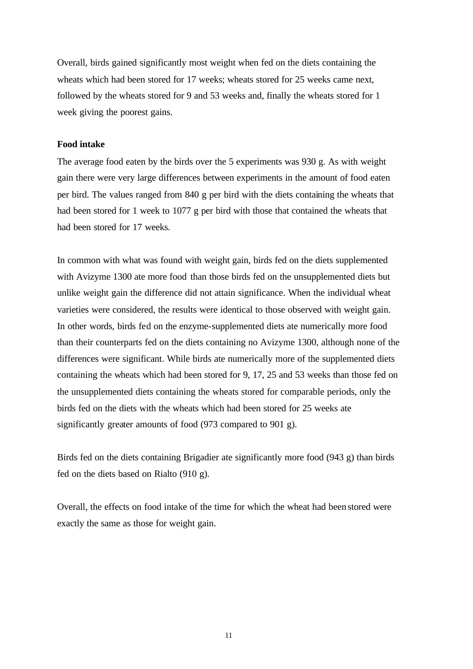Overall, birds gained significantly most weight when fed on the diets containing the wheats which had been stored for 17 weeks; wheats stored for 25 weeks came next, followed by the wheats stored for 9 and 53 weeks and, finally the wheats stored for 1 week giving the poorest gains.

#### **Food intake**

The average food eaten by the birds over the 5 experiments was 930 g. As with weight gain there were very large differences between experiments in the amount of food eaten per bird. The values ranged from 840 g per bird with the diets containing the wheats that had been stored for 1 week to 1077 g per bird with those that contained the wheats that had been stored for 17 weeks.

In common with what was found with weight gain, birds fed on the diets supplemented with Avizyme 1300 ate more food than those birds fed on the unsupplemented diets but unlike weight gain the difference did not attain significance. When the individual wheat varieties were considered, the results were identical to those observed with weight gain. In other words, birds fed on the enzyme-supplemented diets ate numerically more food than their counterparts fed on the diets containing no Avizyme 1300, although none of the differences were significant. While birds ate numerically more of the supplemented diets containing the wheats which had been stored for 9, 17, 25 and 53 weeks than those fed on the unsupplemented diets containing the wheats stored for comparable periods, only the birds fed on the diets with the wheats which had been stored for 25 weeks ate significantly greater amounts of food (973 compared to 901 g).

Birds fed on the diets containing Brigadier ate significantly more food (943 g) than birds fed on the diets based on Rialto (910 g).

Overall, the effects on food intake of the time for which the wheat had been stored were exactly the same as those for weight gain.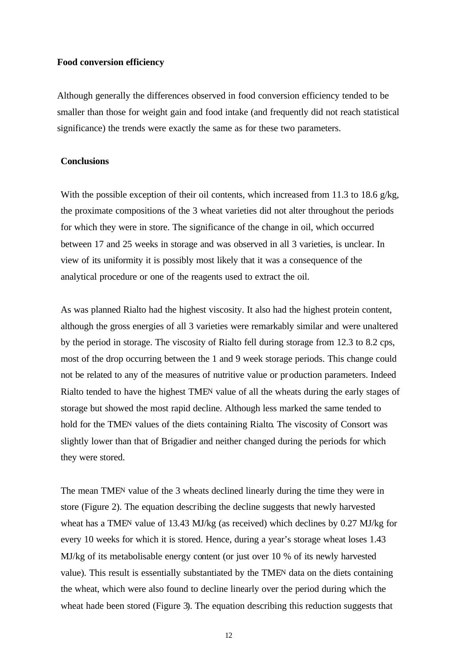#### **Food conversion efficiency**

Although generally the differences observed in food conversion efficiency tended to be smaller than those for weight gain and food intake (and frequently did not reach statistical significance) the trends were exactly the same as for these two parameters.

## **Conclusions**

With the possible exception of their oil contents, which increased from 11.3 to 18.6 g/kg, the proximate compositions of the 3 wheat varieties did not alter throughout the periods for which they were in store. The significance of the change in oil, which occurred between 17 and 25 weeks in storage and was observed in all 3 varieties, is unclear. In view of its uniformity it is possibly most likely that it was a consequence of the analytical procedure or one of the reagents used to extract the oil.

As was planned Rialto had the highest viscosity. It also had the highest protein content, although the gross energies of all 3 varieties were remarkably similar and were unaltered by the period in storage. The viscosity of Rialto fell during storage from 12.3 to 8.2 cps, most of the drop occurring between the 1 and 9 week storage periods. This change could not be related to any of the measures of nutritive value or production parameters. Indeed Rialto tended to have the highest TMEN value of all the wheats during the early stages of storage but showed the most rapid decline. Although less marked the same tended to hold for the TMEN values of the diets containing Rialto. The viscosity of Consort was slightly lower than that of Brigadier and neither changed during the periods for which they were stored.

The mean TMEN value of the 3 wheats declined linearly during the time they were in store (Figure 2). The equation describing the decline suggests that newly harvested wheat has a TMEN value of 13.43 MJ/kg (as received) which declines by 0.27 MJ/kg for every 10 weeks for which it is stored. Hence, during a year's storage wheat loses 1.43 MJ/kg of its metabolisable energy content (or just over 10 % of its newly harvested value). This result is essentially substantiated by the TMEN data on the diets containing the wheat, which were also found to decline linearly over the period during which the wheat hade been stored (Figure 3). The equation describing this reduction suggests that

12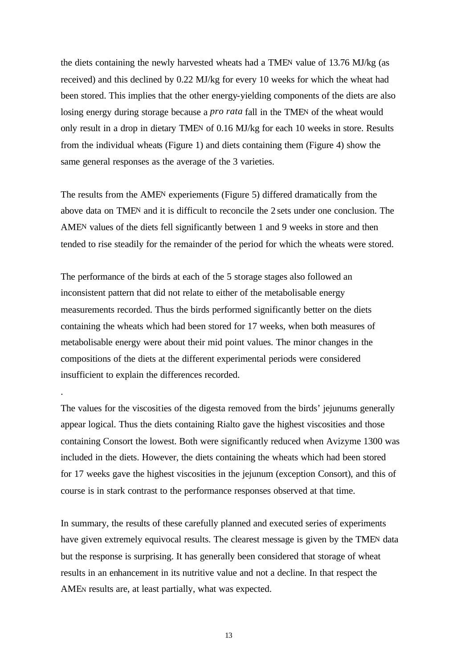the diets containing the newly harvested wheats had a TMEN value of 13.76 MJ/kg (as received) and this declined by 0.22 MJ/kg for every 10 weeks for which the wheat had been stored. This implies that the other energy-yielding components of the diets are also losing energy during storage because a *pro rata* fall in the TMEN of the wheat would only result in a drop in dietary TMEN of 0.16 MJ/kg for each 10 weeks in store. Results from the individual wheats (Figure 1) and diets containing them (Figure 4) show the same general responses as the average of the 3 varieties.

The results from the AMEN experiements (Figure 5) differed dramatically from the above data on TMEN and it is difficult to reconcile the 2 sets under one conclusion. The AMEN values of the diets fell significantly between 1 and 9 weeks in store and then tended to rise steadily for the remainder of the period for which the wheats were stored.

The performance of the birds at each of the 5 storage stages also followed an inconsistent pattern that did not relate to either of the metabolisable energy measurements recorded. Thus the birds performed significantly better on the diets containing the wheats which had been stored for 17 weeks, when both measures of metabolisable energy were about their mid point values. The minor changes in the compositions of the diets at the different experimental periods were considered insufficient to explain the differences recorded.

.

The values for the viscosities of the digesta removed from the birds' jejunums generally appear logical. Thus the diets containing Rialto gave the highest viscosities and those containing Consort the lowest. Both were significantly reduced when Avizyme 1300 was included in the diets. However, the diets containing the wheats which had been stored for 17 weeks gave the highest viscosities in the jejunum (exception Consort), and this of course is in stark contrast to the performance responses observed at that time.

In summary, the results of these carefully planned and executed series of experiments have given extremely equivocal results. The clearest message is given by the TMEN data but the response is surprising. It has generally been considered that storage of wheat results in an enhancement in its nutritive value and not a decline. In that respect the AMEN results are, at least partially, what was expected.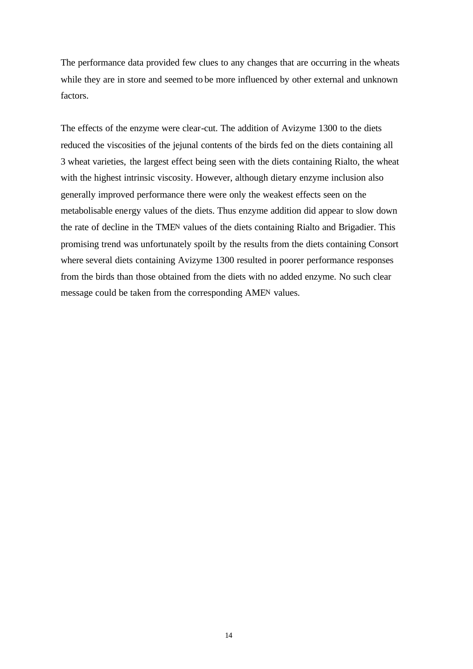The performance data provided few clues to any changes that are occurring in the wheats while they are in store and seemed to be more influenced by other external and unknown factors.

The effects of the enzyme were clear-cut. The addition of Avizyme 1300 to the diets reduced the viscosities of the jejunal contents of the birds fed on the diets containing all 3 wheat varieties, the largest effect being seen with the diets containing Rialto, the wheat with the highest intrinsic viscosity. However, although dietary enzyme inclusion also generally improved performance there were only the weakest effects seen on the metabolisable energy values of the diets. Thus enzyme addition did appear to slow down the rate of decline in the TMEN values of the diets containing Rialto and Brigadier. This promising trend was unfortunately spoilt by the results from the diets containing Consort where several diets containing Avizyme 1300 resulted in poorer performance responses from the birds than those obtained from the diets with no added enzyme. No such clear message could be taken from the corresponding AMEN values.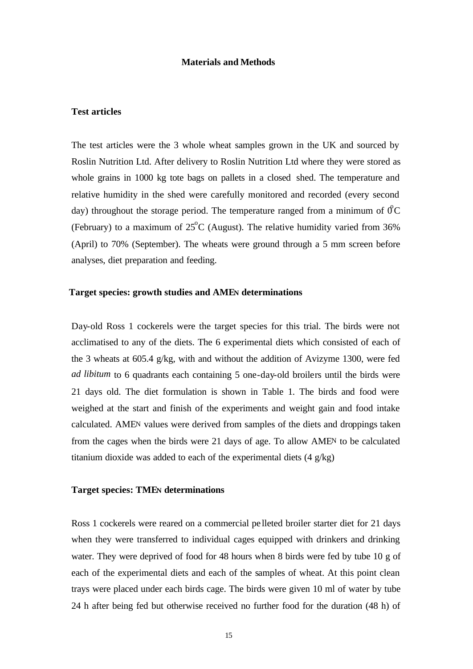#### **Materials and Methods**

#### **Test articles**

The test articles were the 3 whole wheat samples grown in the UK and sourced by Roslin Nutrition Ltd. After delivery to Roslin Nutrition Ltd where they were stored as whole grains in 1000 kg tote bags on pallets in a closed shed. The temperature and relative humidity in the shed were carefully monitored and recorded (every second day) throughout the storage period. The temperature ranged from a minimum of  $\mathcal{O}C$ (February) to a maximum of  $25^{\circ}$ C (August). The relative humidity varied from 36% (April) to 70% (September). The wheats were ground through a 5 mm screen before analyses, diet preparation and feeding.

#### **Target species: growth studies and AMEN determinations**

Day-old Ross 1 cockerels were the target species for this trial. The birds were not acclimatised to any of the diets. The 6 experimental diets which consisted of each of the 3 wheats at 605.4 g/kg, with and without the addition of Avizyme 1300, were fed *ad libitum* to 6 quadrants each containing 5 one-day-old broilers until the birds were 21 days old. The diet formulation is shown in Table 1. The birds and food were weighed at the start and finish of the experiments and weight gain and food intake calculated. AMEN values were derived from samples of the diets and droppings taken from the cages when the birds were 21 days of age. To allow AMEN to be calculated titanium dioxide was added to each of the experimental diets (4 g/kg)

#### **Target species: TMEN determinations**

Ross 1 cockerels were reared on a commercial pe lleted broiler starter diet for 21 days when they were transferred to individual cages equipped with drinkers and drinking water. They were deprived of food for 48 hours when 8 birds were fed by tube 10 g of each of the experimental diets and each of the samples of wheat. At this point clean trays were placed under each birds cage. The birds were given 10 ml of water by tube 24 h after being fed but otherwise received no further food for the duration (48 h) of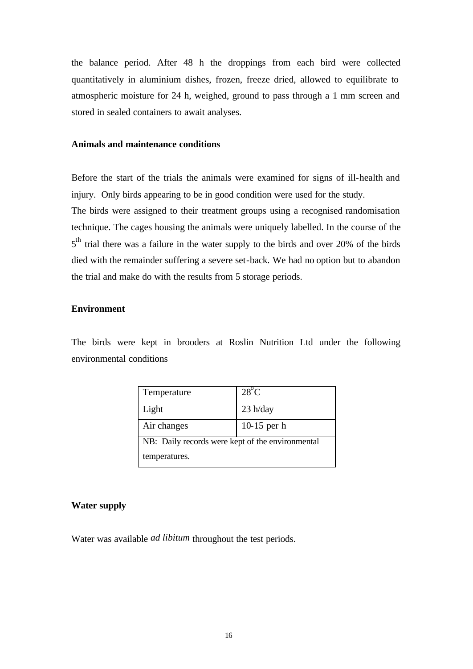the balance period. After 48 h the droppings from each bird were collected quantitatively in aluminium dishes, frozen, freeze dried, allowed to equilibrate to atmospheric moisture for 24 h, weighed, ground to pass through a 1 mm screen and stored in sealed containers to await analyses.

## **Animals and maintenance conditions**

Before the start of the trials the animals were examined for signs of ill-health and injury. Only birds appearing to be in good condition were used for the study. The birds were assigned to their treatment groups using a recognised randomisation technique. The cages housing the animals were uniquely labelled. In the course of the  $5<sup>th</sup>$  trial there was a failure in the water supply to the birds and over 20% of the birds died with the remainder suffering a severe set-back. We had no option but to abandon the trial and make do with the results from 5 storage periods.

## **Environment**

The birds were kept in brooders at Roslin Nutrition Ltd under the following environmental conditions

| Temperature                                      | $28^{\circ}$ C |
|--------------------------------------------------|----------------|
| Light                                            | $23$ h/day     |
| Air changes                                      | $10-15$ per h  |
| NB: Daily records were kept of the environmental |                |
| temperatures.                                    |                |

#### **Water supply**

Water was available *ad libitum* throughout the test periods.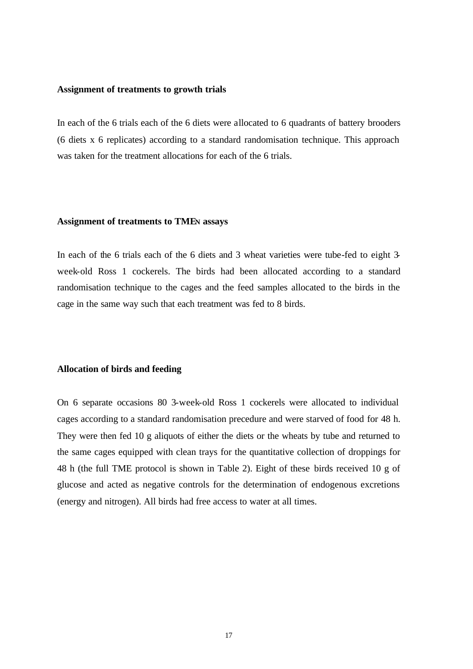#### **Assignment of treatments to growth trials**

In each of the 6 trials each of the 6 diets were allocated to 6 quadrants of battery brooders (6 diets x 6 replicates) according to a standard randomisation technique. This approach was taken for the treatment allocations for each of the 6 trials.

#### **Assignment of treatments to TMEN assays**

In each of the 6 trials each of the 6 diets and 3 wheat varieties were tube-fed to eight 3 week-old Ross 1 cockerels. The birds had been allocated according to a standard randomisation technique to the cages and the feed samples allocated to the birds in the cage in the same way such that each treatment was fed to 8 birds.

#### **Allocation of birds and feeding**

On 6 separate occasions 80 3-week-old Ross 1 cockerels were allocated to individual cages according to a standard randomisation precedure and were starved of food for 48 h. They were then fed 10 g aliquots of either the diets or the wheats by tube and returned to the same cages equipped with clean trays for the quantitative collection of droppings for 48 h (the full TME protocol is shown in Table 2). Eight of these birds received 10 g of glucose and acted as negative controls for the determination of endogenous excretions (energy and nitrogen). All birds had free access to water at all times.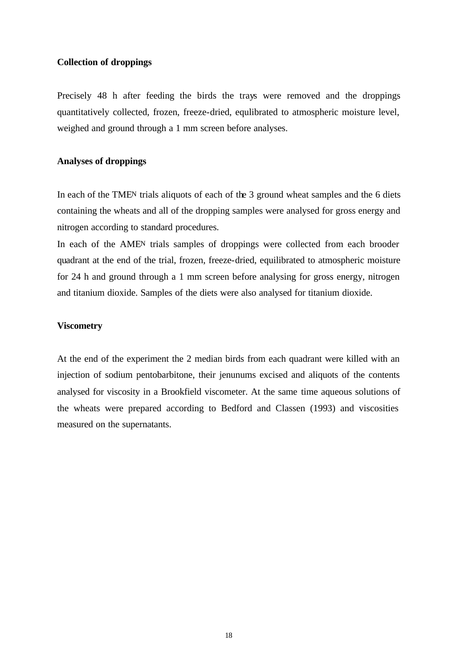#### **Collection of droppings**

Precisely 48 h after feeding the birds the trays were removed and the droppings quantitatively collected, frozen, freeze-dried, equlibrated to atmospheric moisture level, weighed and ground through a 1 mm screen before analyses.

## **Analyses of droppings**

In each of the TMEN trials aliquots of each of the 3 ground wheat samples and the 6 diets containing the wheats and all of the dropping samples were analysed for gross energy and nitrogen according to standard procedures.

In each of the AMEN trials samples of droppings were collected from each brooder quadrant at the end of the trial, frozen, freeze-dried, equilibrated to atmospheric moisture for 24 h and ground through a 1 mm screen before analysing for gross energy, nitrogen and titanium dioxide. Samples of the diets were also analysed for titanium dioxide.

#### **Viscometry**

At the end of the experiment the 2 median birds from each quadrant were killed with an injection of sodium pentobarbitone, their jenunums excised and aliquots of the contents analysed for viscosity in a Brookfield viscometer. At the same time aqueous solutions of the wheats were prepared according to Bedford and Classen (1993) and viscosities measured on the supernatants.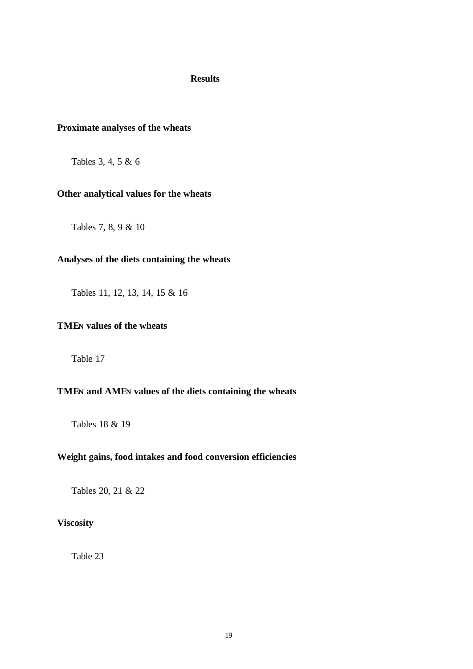#### **Results**

## **Proximate analyses of the wheats**

Tables 3, 4, 5 & 6

#### **Other analytical values for the wheats**

Tables 7, 8, 9 & 10

# **Analyses of the diets containing the wheats**

Tables 11, 12, 13, 14, 15 & 16

## **TMEN values of the wheats**

Table 17

## **TMEN and AMEN values of the diets containing the wheats**

Tables 18 & 19

# **Weight gains, food intakes and food conversion efficiencies**

Tables 20, 21 & 22

## **Viscosity**

Table 23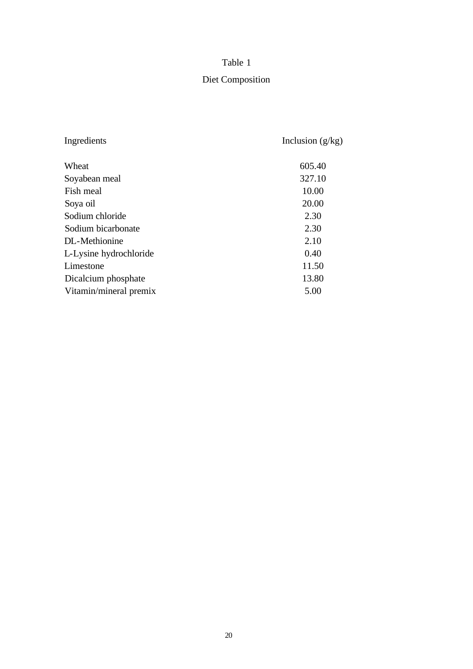| Ingredients            | Inclusion $(g/kg)$ |
|------------------------|--------------------|
| Wheat                  | 605.40             |
| Soyabean meal          | 327.10             |
| Fish meal              | 10.00              |
| Soya oil               | 20.00              |
| Sodium chloride        | 2.30               |
| Sodium bicarbonate     | 2.30               |
| DL-Methionine          | 2.10               |
| L-Lysine hydrochloride | 0.40               |
| Limestone              | 11.50              |
| Dicalcium phosphate    | 13.80              |
| Vitamin/mineral premix | 5.00               |

# Diet Composition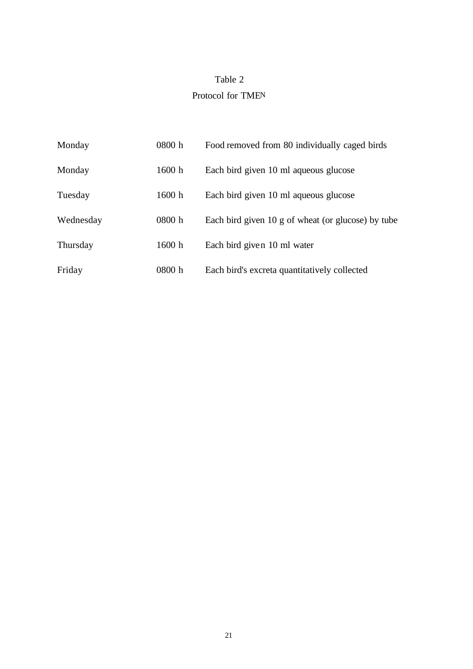# Table 2 Protocol for TMEN

| Monday    | 0800 h | Food removed from 80 individually caged birds      |
|-----------|--------|----------------------------------------------------|
| Monday    | 1600 h | Each bird given 10 ml aqueous glucose              |
| Tuesday   | 1600 h | Each bird given 10 ml aqueous glucose              |
| Wednesday | 0800 h | Each bird given 10 g of wheat (or glucose) by tube |
| Thursday  | 1600 h | Each bird given 10 ml water                        |
| Friday    | 0800 h | Each bird's excreta quantitatively collected       |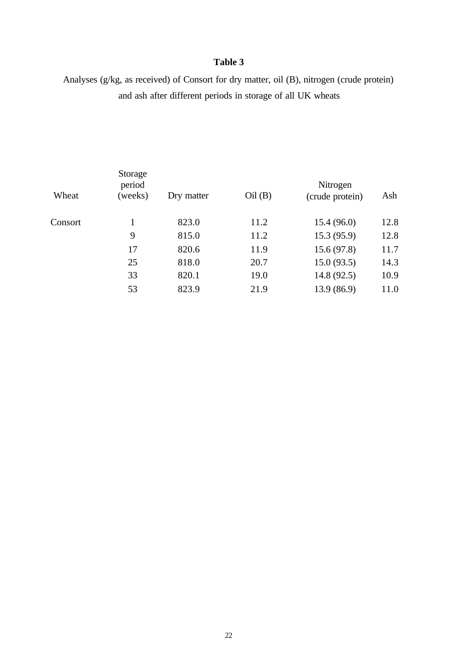# Analyses (g/kg, as received) of Consort for dry matter, oil (B), nitrogen (crude protein) and ash after different periods in storage of all UK wheats

| Wheat   | Storage<br>period<br>(weeks) | Dry matter | Oil(B) | Nitrogen<br>(crude protein) | Ash  |
|---------|------------------------------|------------|--------|-----------------------------|------|
| Consort |                              | 823.0      | 11.2   | 15.4(96.0)                  | 12.8 |
|         | 9                            | 815.0      | 11.2   | 15.3(95.9)                  | 12.8 |
|         | 17                           | 820.6      | 11.9   | 15.6(97.8)                  | 11.7 |
|         | 25                           | 818.0      | 20.7   | 15.0(93.5)                  | 14.3 |
|         | 33                           | 820.1      | 19.0   | 14.8(92.5)                  | 10.9 |
|         | 53                           | 823.9      | 21.9   | 13.9 (86.9)                 | 11.0 |
|         |                              |            |        |                             |      |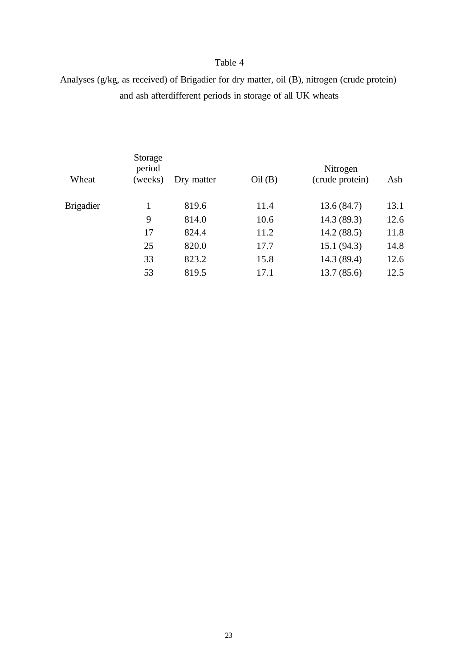# Analyses (g/kg, as received) of Brigadier for dry matter, oil (B), nitrogen (crude protein) and ash afterdifferent periods in storage of all UK wheats

|                                                 | Nitrogen<br>(crude protein)<br>Ash |
|-------------------------------------------------|------------------------------------|
| 13.6(84.7)<br><b>Brigadier</b><br>819.6<br>11.4 | 13.1                               |
| 14.3 (89.3)<br>9<br>814.0<br>10.6               | 12.6                               |
| 14.2(88.5)<br>17<br>824.4<br>11.2               | 11.8                               |
| 25<br>15.1(94.3)<br>820.0<br>17.7               | 14.8                               |
| 14.3 (89.4)<br>33<br>823.2<br>15.8              | 12.6                               |
| 53<br>819.5<br>13.7(85.6)<br>17.1               | 12.5                               |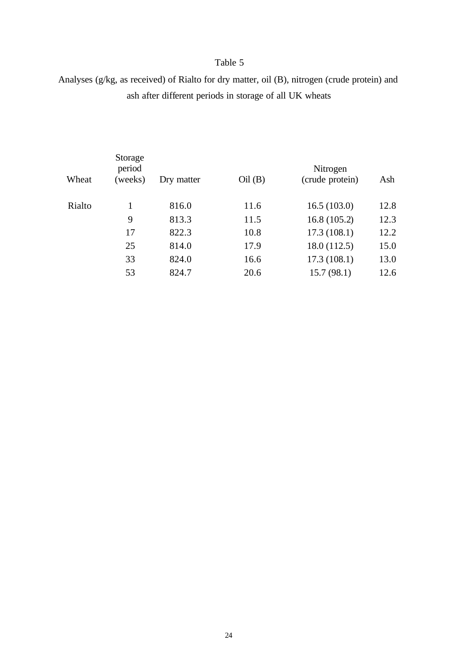Analyses (g/kg, as received) of Rialto for dry matter, oil (B), nitrogen (crude protein) and ash after different periods in storage of all UK wheats

| Wheat  | Storage<br>period<br>(weeks) | Dry matter | Oil(B) | Nitrogen<br>(crude protein) | Ash  |
|--------|------------------------------|------------|--------|-----------------------------|------|
| Rialto | 1                            | 816.0      | 11.6   | 16.5(103.0)                 | 12.8 |
|        | 9                            | 813.3      | 11.5   | 16.8(105.2)                 | 12.3 |
|        | 17                           | 822.3      | 10.8   | 17.3(108.1)                 | 12.2 |
|        | 25                           | 814.0      | 17.9   | 18.0(112.5)                 | 15.0 |
|        | 33                           | 824.0      | 16.6   | 17.3(108.1)                 | 13.0 |
|        | 53                           | 824.7      | 20.6   | 15.7(98.1)                  | 12.6 |
|        |                              |            |        |                             |      |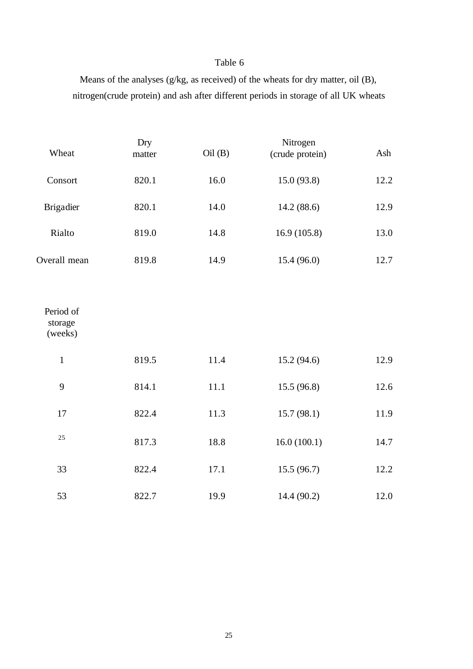Means of the analyses (g/kg, as received) of the wheats for dry matter, oil (B), nitrogen(crude protein) and ash after different periods in storage of all UK wheats

| Wheat                           | Dry<br>matter | Oil (B) | Nitrogen<br>(crude protein) | Ash  |
|---------------------------------|---------------|---------|-----------------------------|------|
| Consort                         | 820.1         | 16.0    | 15.0 (93.8)                 | 12.2 |
| <b>Brigadier</b>                | 820.1         | 14.0    | 14.2(88.6)                  | 12.9 |
| Rialto                          | 819.0         | 14.8    | 16.9(105.8)                 | 13.0 |
| Overall mean                    | 819.8         | 14.9    | 15.4 (96.0)                 | 12.7 |
| Period of<br>storage<br>(weeks) |               |         |                             |      |
| $\mathbf 1$                     | 819.5         | 11.4    | 15.2(94.6)                  | 12.9 |
| 9                               | 814.1         | 11.1    | 15.5(96.8)                  | 12.6 |
| 17                              | 822.4         | 11.3    | 15.7(98.1)                  | 11.9 |
| 25                              | 817.3         | 18.8    | 16.0(100.1)                 | 14.7 |
| 33                              | 822.4         | 17.1    | 15.5(96.7)                  | 12.2 |
| 53                              | 822.7         | 19.9    | 14.4 (90.2)                 | 12.0 |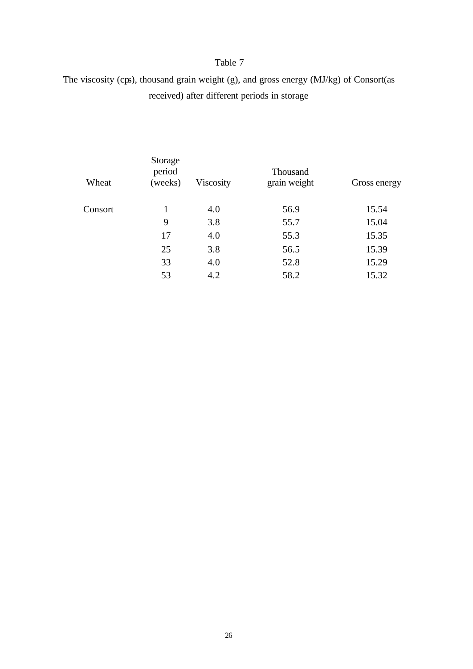The viscosity (cps), thousand grain weight (g), and gross energy (MJ/kg) of Consort(as received) after different periods in storage

| Wheat   | Storage<br>period<br>(weeks) | Viscosity | Thousand<br>grain weight | Gross energy |
|---------|------------------------------|-----------|--------------------------|--------------|
| Consort |                              | 4.0       | 56.9                     | 15.54        |
|         | 9                            | 3.8       | 55.7                     | 15.04        |
|         | 17                           | 4.0       | 55.3                     | 15.35        |
|         | 25                           | 3.8       | 56.5                     | 15.39        |
|         | 33                           | 4.0       | 52.8                     | 15.29        |
|         | 53                           | 4.2       | 58.2                     | 15.32        |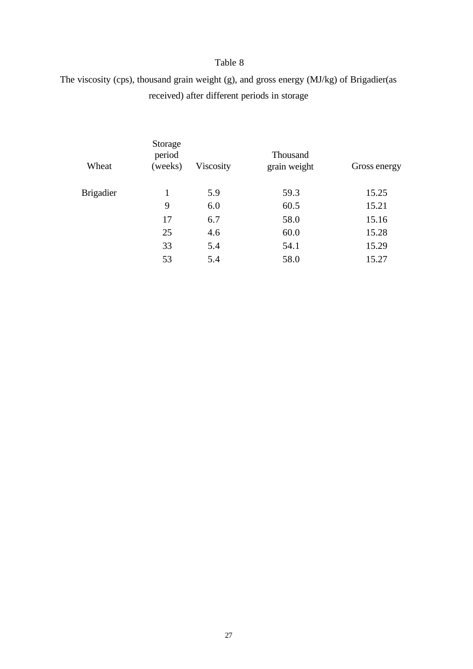The viscosity (cps), thousand grain weight (g), and gross energy (MJ/kg) of Brigadier(as received) after different periods in storage

| Storage<br>period<br>(weeks) | Viscosity | <b>Thousand</b><br>grain weight | Gross energy |
|------------------------------|-----------|---------------------------------|--------------|
| 1                            | 5.9       | 59.3                            | 15.25        |
| 9                            | 6.0       | 60.5                            | 15.21        |
| 17                           | 6.7       | 58.0                            | 15.16        |
| 25                           | 4.6       | 60.0                            | 15.28        |
| 33                           | 5.4       | 54.1                            | 15.29        |
| 53                           | 5.4       | 58.0                            | 15.27        |
|                              |           |                                 |              |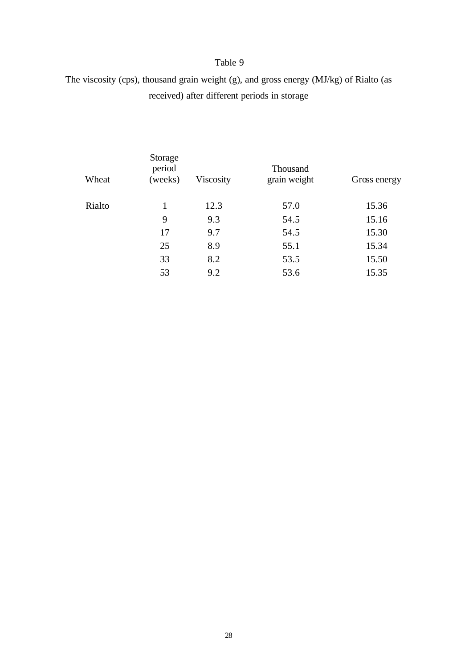# The viscosity (cps), thousand grain weight (g), and gross energy (MJ/kg) of Rialto (as received) after different periods in storage

| Wheat  | Storage<br>period<br>(weeks) | Viscosity | <b>Thousand</b><br>grain weight | Gross energy |
|--------|------------------------------|-----------|---------------------------------|--------------|
| Rialto | 1                            | 12.3      | 57.0                            | 15.36        |
|        | 9                            | 9.3       | 54.5                            | 15.16        |
|        | 17                           | 9.7       | 54.5                            | 15.30        |
|        | 25                           | 8.9       | 55.1                            | 15.34        |
|        | 33                           | 8.2       | 53.5                            | 15.50        |
|        | 53                           | 9.2       | 53.6                            | 15.35        |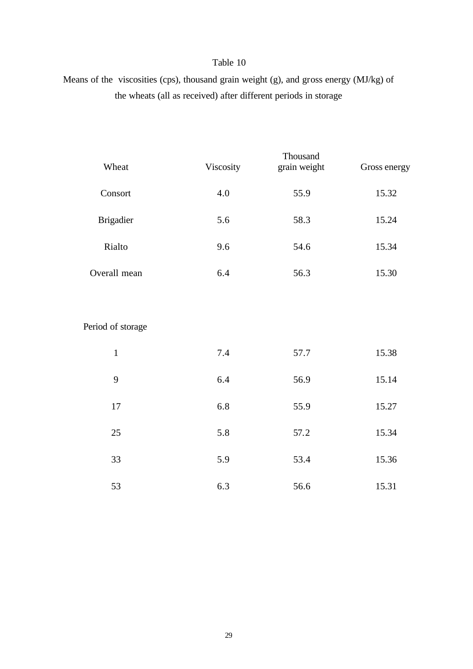Means of the viscosities (cps), thousand grain weight (g), and gross energy (MJ/kg) of the wheats (all as received) after different periods in storage

| Wheat             | Viscosity | Thousand<br>grain weight | Gross energy |
|-------------------|-----------|--------------------------|--------------|
| Consort           | 4.0       | 55.9                     | 15.32        |
| <b>Brigadier</b>  | 5.6       | 58.3                     | 15.24        |
| Rialto            | 9.6       | 54.6                     | 15.34        |
| Overall mean      | 6.4       | 56.3                     | 15.30        |
|                   |           |                          |              |
| Period of storage |           |                          |              |
| $\mathbf{1}$      | 7.4       | 57.7                     | 15.38        |
| 9                 | 6.4       | 56.9                     | 15.14        |
| 17                | 6.8       | 55.9                     | 15.27        |
| 25                | 5.8       | 57.2                     | 15.34        |
| 33                | 5.9       | 53.4                     | 15.36        |
| 53                | 6.3       | 56.6                     | 15.31        |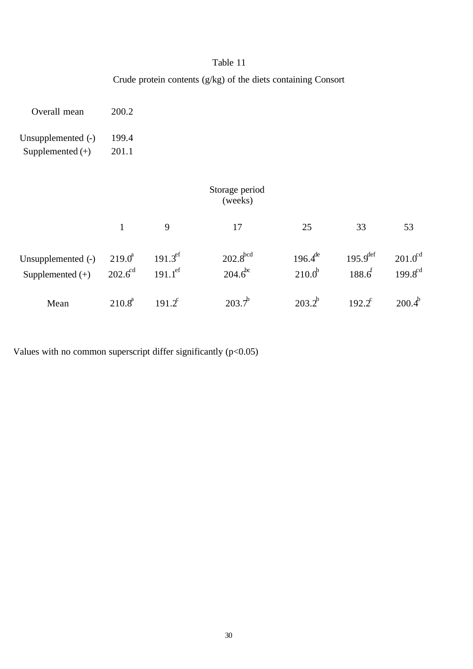Crude protein contents (g/kg) of the diets containing Consort

| Overall mean                             | 200.2                     |                                         |                                |                             |                                     |                                       |
|------------------------------------------|---------------------------|-----------------------------------------|--------------------------------|-----------------------------|-------------------------------------|---------------------------------------|
| Unsupplemented (-)<br>Supplemented $(+)$ | 199.4<br>201.1            |                                         |                                |                             |                                     |                                       |
|                                          |                           |                                         | Storage period<br>(weeks)      |                             |                                     |                                       |
|                                          | $\mathbf{1}$              | 9                                       | 17                             | 25                          | 33                                  | 53                                    |
| Unsupplemented (-)<br>Supplemented $(+)$ | $219.0^a$<br>$202.6^{cd}$ | $191.3^{\rm ef}$<br>$191.1^{\text{ef}}$ | $202.8$ bcd<br>$204.6^{\circ}$ | $196.4^{de}$<br>$210.0^{b}$ | $195.9^{\text{def}}$<br>$188.6^{f}$ | $201.0$ <sup>cd</sup><br>$199.8^{cd}$ |
| Mean                                     | $210.8^a$                 | $191.2^c$                               | $203.7^{\circ}$                | $203.2^{b}$                 | $192.2^{\circ}$                     | $200.4^b$                             |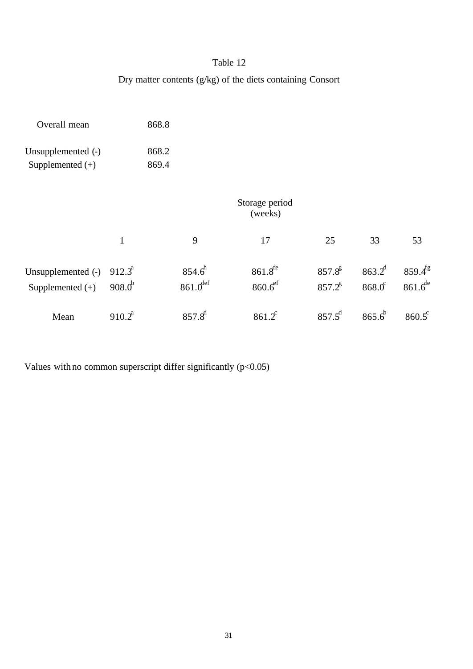# Dry matter contents (g/kg) of the diets containing Consort

| Overall mean       |              | 868.8 |                        |                           |             |                      |                 |
|--------------------|--------------|-------|------------------------|---------------------------|-------------|----------------------|-----------------|
| Unsupplemented (-) |              | 868.2 |                        |                           |             |                      |                 |
| Supplemented $(+)$ |              | 869.4 |                        |                           |             |                      |                 |
|                    |              |       |                        | Storage period<br>(weeks) |             |                      |                 |
|                    | $\mathbf{1}$ |       | 9                      | 17                        | 25          | 33                   | 53              |
| Unsupplemented (-) | $912.3^a$    |       | $854.6^{h}$            | $861.8^{de}$              | $857.8^{g}$ | $863.2^{d}$          | $859.4^{fg}$    |
| Supplemented $(+)$ | $908.0^{b}$  |       | $861.0$ <sup>def</sup> | $860.6$ <sup>ef</sup>     | $857.2^8$   | $868.0$ <sup>c</sup> | $861.6^{de}$    |
| Mean               | $910.2^a$    |       | $857.8^{d}$            | $861.2^c$                 | $857.5^{d}$ | $865.6^{b}$          | $860.5^{\circ}$ |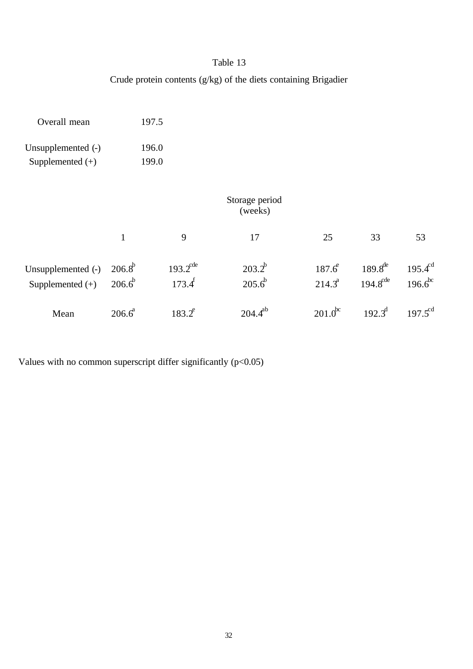# Crude protein contents (g/kg) of the diets containing Brigadier

| Overall mean                             |                            | 197.5                               |                            |                          |                                      |                              |
|------------------------------------------|----------------------------|-------------------------------------|----------------------------|--------------------------|--------------------------------------|------------------------------|
| Unsupplemented (-)                       |                            | 196.0                               |                            |                          |                                      |                              |
| Supplemented $(+)$                       |                            | 199.0                               |                            |                          |                                      |                              |
|                                          |                            |                                     | Storage period<br>(weeks)  |                          |                                      |                              |
|                                          | $\mathbf{1}$               | 9                                   | 17                         | 25                       | 33                                   | 53                           |
| Unsupplemented (-)<br>Supplemented $(+)$ | $206.8^{b}$<br>$206.6^{b}$ | $193.2^{\text{cde}}$<br>$173.4^{f}$ | $203.2^{b}$<br>$205.6^{b}$ | $187.6^e$<br>$214.3^{a}$ | $189.8^{de}$<br>$194.8^{\text{cde}}$ | $195.4^{cd}$<br>$196.6^{bc}$ |
| Mean                                     | $206.6^a$                  | $183.2^e$                           | $204.4^{ab}$               | $201.0^{\rm bc}$         | $192.3^{\text{d}}$                   | $197.5^{cd}$                 |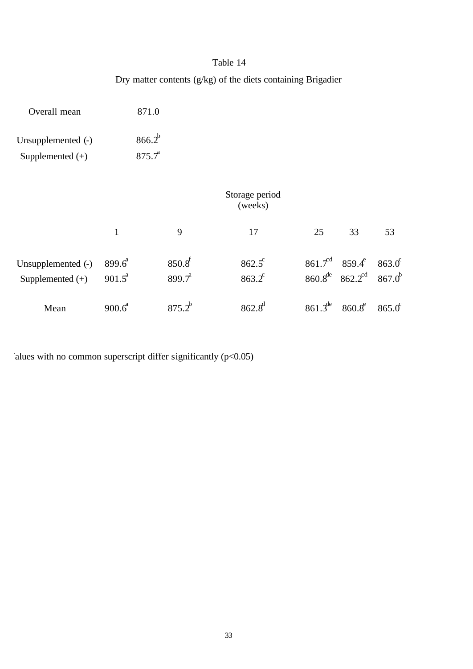Dry matter contents (g/kg) of the diets containing Brigadier

| Overall mean                             |                        | 871.0                             |                                |                              |              |                                                                                  |                            |
|------------------------------------------|------------------------|-----------------------------------|--------------------------------|------------------------------|--------------|----------------------------------------------------------------------------------|----------------------------|
| Unsupplemented (-)<br>Supplemented $(+)$ |                        | $866.2^{b}$<br>$875.\tau^{\rm a}$ |                                |                              |              |                                                                                  |                            |
|                                          |                        |                                   |                                | Storage period<br>(weeks)    |              |                                                                                  |                            |
|                                          | $\mathbf{1}$           |                                   | 9                              | 17                           | 25           | 33                                                                               | 53                         |
| Unsupplemented (-)<br>Supplemented $(+)$ | $899.6^a$<br>$901.5^a$ |                                   | $850.8^{f}$<br>$899.7^{\circ}$ | $862.5^{\circ}$<br>$863.2^c$ |              | $861.7^{\text{d}}$ $859.4^{\text{e}}$<br>$860.8^{\text{de}}$ $862.2^{\text{cd}}$ | $863.0^\circ$<br>$867.0^b$ |
| Mean                                     | $900.6^a$              |                                   | $875.2^{b}$                    | $862.8^{d}$                  | $861.3^{de}$ | $860.8^e$                                                                        | $865.0^{\circ}$            |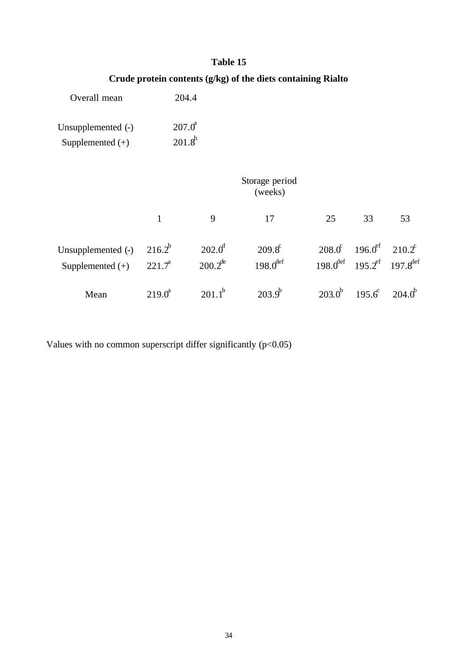# **Crude protein contents (g/kg) of the diets containing Rialto**

| Overall mean       | 204.4              |
|--------------------|--------------------|
| Unsupplemented (-) | $207.0^{\text{a}}$ |
| Supplemented $(+)$ | $201.8^{b}$        |

|                                          | Storage period<br>(weeks)      |                                        |                                           |             |                                                                                                                  |                 |  |  |
|------------------------------------------|--------------------------------|----------------------------------------|-------------------------------------------|-------------|------------------------------------------------------------------------------------------------------------------|-----------------|--|--|
|                                          | $\mathbf{1}$                   | 9                                      | 17                                        | 25          | 33                                                                                                               | 53              |  |  |
| Unsupplemented (-)<br>Supplemented $(+)$ | $216.2^{b}$<br>$221.7^{\circ}$ | $202.0^{\circ}$<br>$200.2^{\text{de}}$ | $209.8^{\circ}$<br>$198.0$ <sup>def</sup> |             | $208.0^{\circ}$ 196.0 <sup>ef</sup> 210.2 <sup>c</sup><br>$198.0^{def}$ 195.2 <sup>ef</sup> 197.8 <sup>def</sup> |                 |  |  |
| Mean                                     | $219.0^{\circ}$                | $201.1^{b}$                            | $2039^b$                                  | $203.0^{b}$ | $195.6^{\circ}$                                                                                                  | $204.0^{\circ}$ |  |  |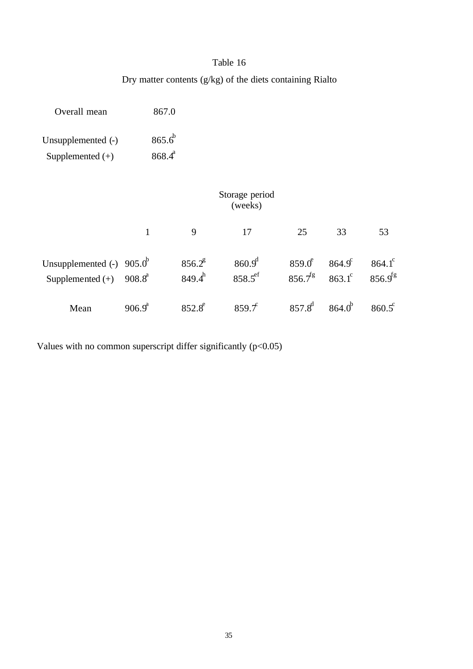Dry matter contents (g/kg) of the diets containing Rialto

| Overall mean                             | 867.0                      |                          |                                 |                               |                                    |                                 |
|------------------------------------------|----------------------------|--------------------------|---------------------------------|-------------------------------|------------------------------------|---------------------------------|
| Unsupplemented (-)                       | $865.6^{b}$                |                          |                                 |                               |                                    |                                 |
| Supplemented $(+)$                       | $868.4^{a}$                |                          |                                 |                               |                                    |                                 |
|                                          |                            |                          | Storage period<br>(weeks)       |                               |                                    |                                 |
|                                          | $\mathbf{1}$               | 9                        | 17                              | 25                            | 33                                 | 53                              |
| Unsupplemented (-)<br>Supplemented $(+)$ | $905.0^{b}$<br>$908.8^{a}$ | $856.2^8$<br>$849.4^{h}$ | $860.9^{d}$<br>$858.5^{\rm ef}$ | $859.0^\circ$<br>$856.7^{fg}$ | $864.9^{\circ}$<br>$863.1^{\circ}$ | $864.1^{\circ}$<br>$856.9^{fg}$ |
| Mean                                     | $906.9^a$                  | $852.8^e$                | 859.7                           | $857.8^{d}$                   | 864.0 <sup>b</sup>                 | $860.5^{\circ}$                 |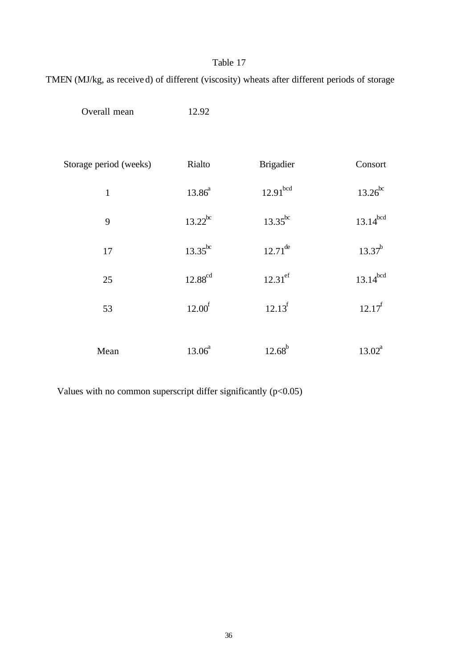TMEN (MJ/kg, as received) of different (viscosity) wheats after different periods of storage

| Overall mean           | 12.92              |                      |               |
|------------------------|--------------------|----------------------|---------------|
| Storage period (weeks) | Rialto             | <b>Brigadier</b>     | Consort       |
| $\mathbf{1}$           | $13.86^{a}$        | 12.91 <sup>bcd</sup> | $13.26^{bc}$  |
| 9                      | $13.22^{bc}$       | $13.35^{bc}$         | $13.14^{bcd}$ |
| 17                     | $13.35^{bc}$       | $12.71^{de}$         | $13.37^{b}$   |
| 25                     | $12.88^{\rm cd}$   | $12.31^{\text{ef}}$  | $13.14^{bcd}$ |
| 53                     | 12.00 <sup>f</sup> | $12.13^{f}$          | $12.17^f$     |
| Mean                   | $13.06^{a}$        | $12.68^{b}$          | $13.02^a$     |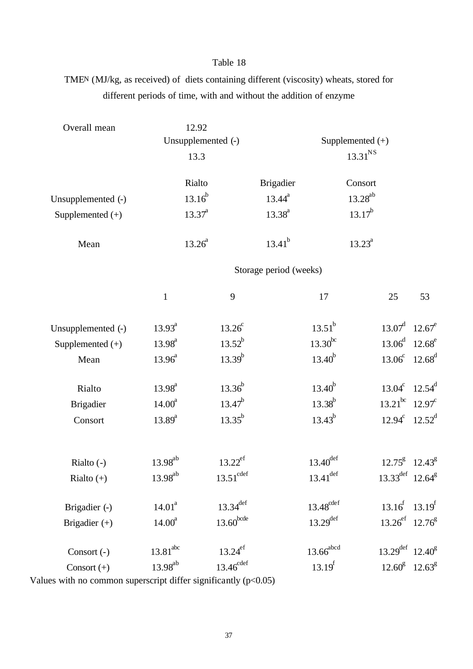TMEN (MJ/kg, as received) of diets containing different (viscosity) wheats, stored for different periods of time, with and without the addition of enzyme

| Overall mean       | 12.92                |                         |                         |                     |                                         |                 |
|--------------------|----------------------|-------------------------|-------------------------|---------------------|-----------------------------------------|-----------------|
|                    |                      | Unsupplemented (-)      |                         | Supplemented (+)    |                                         |                 |
|                    | 13.3                 |                         |                         | 13.31 <sup>NS</sup> |                                         |                 |
|                    | Rialto               |                         | <b>Brigadier</b>        | Consort             |                                         |                 |
| Unsupplemented (-) | $13.16^{b}$          |                         | $13.44^{a}$             | $13.28^{ab}$        |                                         |                 |
| Supplemented (+)   | $13.37^{a}$          |                         | $13.38^{a}$             | $13.17^{b}$         |                                         |                 |
| Mean               | $13.26^{a}$          |                         | $13.41^{b}$             | $13.23^a$           |                                         |                 |
|                    |                      |                         | Storage period (weeks)  |                     |                                         |                 |
|                    | $\mathbf{1}$         | 9                       | 17                      |                     | 25                                      | 53              |
| Unsupplemented (-) | $13.93^{a}$          | $13.26^c$               | $13.51^{b}$             |                     | $13.07^{\text{d}}$ 12.67 <sup>e</sup>   |                 |
| Supplemented (+)   | $13.98^{a}$          | $13.52^{b}$             | $13.30^{bc}$            |                     | $13.06^{\text{d}}$ 12.68 <sup>e</sup>   |                 |
| Mean               | $13.96^{a}$          | $13.39^{b}$             | $13.40^{b}$             |                     | $13.06^c$ 12.68 <sup>d</sup>            |                 |
| Rialto             | $13.98^{a}$          | $13.36^{b}$             | $13.40^{b}$             |                     | $13.04^c$                               | $12.54^d$       |
| <b>Brigadier</b>   | 14.00 <sup>a</sup>   | $13.47^{b}$             | $13.38^{b}$             |                     | $13.21^{bc}$ 12.97 <sup>°</sup>         |                 |
| Consort            | $13.89^{a}$          | $13.35^{b}$             | $13.43^{b}$             |                     | $12.94^c$ $12.52^d$                     |                 |
|                    |                      |                         |                         |                     |                                         |                 |
| Rialto $(-)$       | $13.98^{ab}$         | $13.22^{ef}$            | $13.40^{\text{def}}$    |                     | $12.75^8$ 12.43 <sup>8</sup>            |                 |
| Rialto $(+)$       | $13.98^{ab}$         | $13.51^{\text{cdef}}$   | $13.41^{\text{def}}$    |                     | $13.33^{\text{def}}$ 12.64 <sup>g</sup> |                 |
| Brigadier (-)      | 14.01 <sup>a</sup>   | $13.34$ <sup>def</sup>  | $13.48^{\text{cdef}}$   |                     | $13.16^{f}$ 13.19 <sup>f</sup>          |                 |
| Brigadier (+)      | 14.00 <sup>a</sup>   | $13.60$ <sub>bcde</sub> | $13.29$ <sup>def</sup>  |                     | $13.26^{\text{ef}}$ 12.76 <sup>g</sup>  |                 |
| Consort (-)        | 13.81 <sup>abc</sup> | $13.24^{ef}$            | $13.66$ <sup>abcd</sup> |                     | $13.29^{\text{def}}$ 12.40 <sup>g</sup> |                 |
| Consort $(+)$      | $13.98^{\rm ab}$     | $13.46^{\text{cdef}}$   | $13.19^{f}$             |                     | $12.60^8$                               | $12.63^{\circ}$ |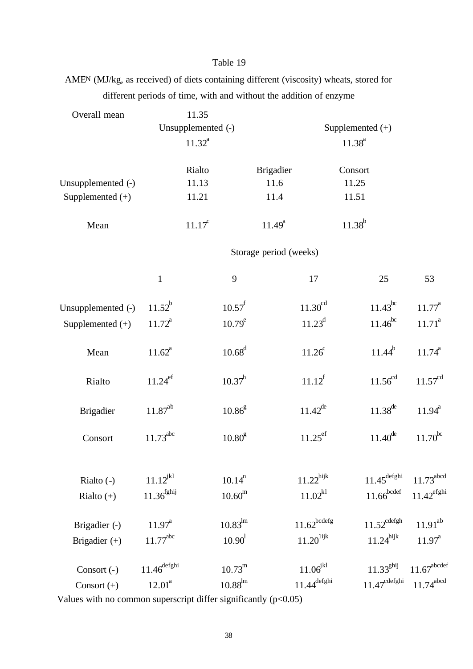AMEN (MJ/kg, as received) of diets containing different (viscosity) wheats, stored for different periods of time, with and without the addition of enzyme

| Overall mean       |                      | 11.35              |                     |                        |                                   |                            |                         |
|--------------------|----------------------|--------------------|---------------------|------------------------|-----------------------------------|----------------------------|-------------------------|
|                    |                      | Unsupplemented (-) |                     |                        |                                   | Supplemented $(+)$         |                         |
|                    |                      | $11.32^a$          |                     |                        |                                   | $11.38^{a}$                |                         |
|                    |                      | Rialto             |                     | <b>Brigadier</b>       |                                   | Consort                    |                         |
| Unsupplemented (-) |                      | 11.13              |                     | 11.6                   |                                   | 11.25                      |                         |
| Supplemented $(+)$ |                      | 11.21              |                     | 11.4                   |                                   | 11.51                      |                         |
| Mean               |                      | $11.17^c$          |                     | $11.49^{a}$            |                                   | $11.38^{b}$                |                         |
|                    |                      |                    |                     | Storage period (weeks) |                                   |                            |                         |
|                    | $\mathbf{1}$         |                    | 9                   |                        | 17                                | 25                         | 53                      |
| Unsupplemented (-) | $11.52^{b}$          |                    | $10.57^{f}$         |                        | $11.30^{cd}$                      | $11.43^{bc}$               | $11.77^{\text{a}}$      |
| Supplemented $(+)$ | $11.72^a$            |                    | $10.79^e$           |                        | $11.23^d$                         | $11.46^{bc}$               | $11.71^a$               |
| Mean               | $11.62^a$            |                    | $10.68^d$           |                        | $11.26^c$                         | $11.44^{b}$                | $11.74^{a}$             |
| Rialto             | $11.24^{\rm ef}$     |                    | $10.37^h$           |                        | $11.12^{f}$                       | $11.56^{cd}$               | $11.57^{\text{cd}}$     |
| <b>Brigadier</b>   | $11.87^{ab}$         |                    | $10.86^\mathrm{g}$  |                        | $11.42^{de}$                      | $11.38^{de}$               | $11.94^{a}$             |
| Consort            | $11.73^{abc}$        |                    | 10.80 <sup>g</sup>  |                        | $11.25^{\rm ef}$                  | $11.40^{\text{de}}$        | $11.70^{\rm bc}$        |
| Rialto $(-)$       | $11.12^{jkl}$        |                    | 10.14 <sup>n</sup>  |                        | $11.22^{\rm hijk}$                | $11.45^{\text{defghi}}$    | 11.73 <sup>abcd</sup>   |
| Rialto $(+)$       | $11.36^{\rm fghij}$  |                    | $10.60^{\rm m}$     |                        | $11.02^{k1}$                      | $11.66^{bcdef}$            | $11.42^{\rm efghi}$     |
| Brigadier (-)      | $11.97^{\circ}$      |                    | $10.83^{\text{lm}}$ |                        | $11.62^{bcdefg}$                  | $11.52^{\text{cdefgh}}$    | $11.91^{ab}$            |
| Brigadier $(+)$    | $11.77^{\text{abc}}$ |                    | 10.90 <sup>1</sup>  |                        | $11.20^{\mathrm{lijk}}$           | $11.24$ <sup>hijk</sup>    | $11.97^{\text{a}}$      |
| Consort (-)        | $11.46^{\rm defghi}$ |                    | $10.73^{\rm m}$     |                        | $11.06^{\mbox{\scriptsize{jkl}}}$ | 11.33 <sup>ghij</sup>      | $11.67^{\text{abcdef}}$ |
| Consort $(+)$      | $12.01^a$            |                    | $10.88^{\rm lm}$    |                        | $11.44^{\rm defghi}$              | $11.47^{\mathrm{cdefghi}}$ | $11.74^{\text{abcd}}$   |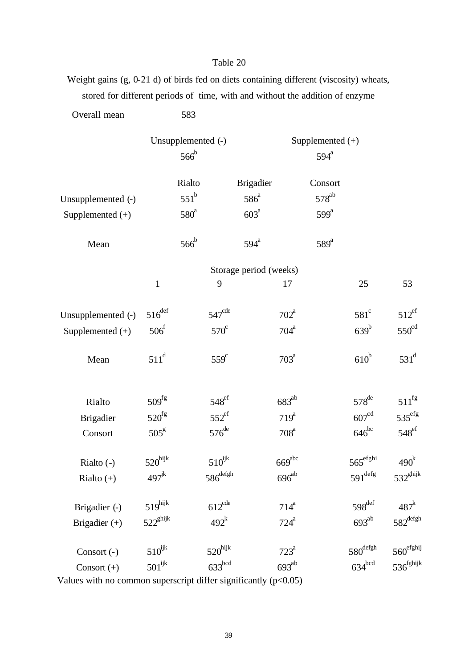Weight gains (g, 0-21 d) of birds fed on diets containing different (viscosity) wheats, stored for different periods of time, with and without the addition of enzyme

| Overall mean                           |                               | 583                                      |                                              |                    |                                               |                       |
|----------------------------------------|-------------------------------|------------------------------------------|----------------------------------------------|--------------------|-----------------------------------------------|-----------------------|
|                                        |                               | Unsupplemented (-)<br>$566^{\mathrm{b}}$ |                                              |                    | Supplemented $(+)$<br>$594^{\circ}$           |                       |
| Unsupplemented (-)<br>Supplemented (+) |                               | Rialto<br>$551^b$<br>$580^a$             | <b>Brigadier</b><br>$586^{\circ}$<br>$603^a$ |                    | Consort<br>578 <sup>ab</sup><br>$599^{\circ}$ |                       |
| Mean                                   |                               | $566^{\mathrm{b}}$                       | $594^{\mathrm{a}}$                           |                    | $589^{\circ}$                                 |                       |
|                                        |                               |                                          | Storage period (weeks)                       |                    |                                               |                       |
|                                        | $\mathbf{1}$                  | 9                                        |                                              | 17                 | 25                                            | 53                    |
| Unsupplemented (-)                     | $516^{\rm def}$               | 547 <sup>cde</sup>                       |                                              | $702^{\mathrm{a}}$ | $581^\circ$                                   | $512^{\mathrm{ef}}$   |
| Supplemented $(+)$                     | $506^{\mathrm{f}}$            | $570^\circ$                              |                                              | $704^{\mathrm{a}}$ | $639^b$                                       | $550^{\text{cd}}$     |
| Mean                                   | $511^d$                       | $559^\circ$                              |                                              | 703 <sup>a</sup>   | $610^b$                                       | $531^d$               |
| Rialto                                 | 509 <sup>fg</sup>             | $548^{\mathrm{ef}}$                      |                                              | $683^{ab}$         | $578^{\text{de}}$                             | $511^{\rm fg}$        |
| <b>Brigadier</b>                       | $520^{\text{fg}}$             | $552^{\mathrm{ef}}$                      |                                              | $719^a$            | 607 <sup>cd</sup>                             | $535^{\text{efg}}$    |
| Consort                                | $505^{\rm g}$                 | $576$ <sup>de</sup>                      |                                              | 708 <sup>a</sup>   | $646^{bc}$                                    | $548^{\mathrm{ef}}$   |
| Rialto $(-)$                           | $520^{\rm hijk}$              | $510^{\rm ijk}$                          |                                              | 669 <sup>abc</sup> | $565^{\mathrm{efghi}}$                        | 490 <sup>k</sup>      |
| Rialto $(+)$                           | $497^{\mbox{\scriptsize jk}}$ | $586^{\rm defgh}$                        |                                              | $696^{\rm ab}$     | $591^{\deg}$                                  | $532^{ghijk}$         |
| Brigadier (-)                          | $519^{\text{hijk}}$           | $612^{\text{cde}}$                       |                                              | $714^a$            | $598^{\rm def}$                               | 487 <sup>k</sup>      |
| Brigadier $(+)$                        | $522^{\mathrm{ghijk}}$        | $492^k$                                  |                                              | $724^a$            | $693^{ab}$                                    | $582^{\text{defgh}}$  |
| Consort (-)                            | $510^{\rm ijk}$               | $520^{\rm hijk}$                         |                                              | $723^{\mathrm{a}}$ | $580^{\rm defgh}$                             | $560^{\text{efghi}}$  |
| Consort $(+)$                          | $501^{\rm ijk}$               | 633 <sup>bcd</sup>                       |                                              | $693^{ab}$         | $634^{bcd}$                                   | $536^{\text{fghijk}}$ |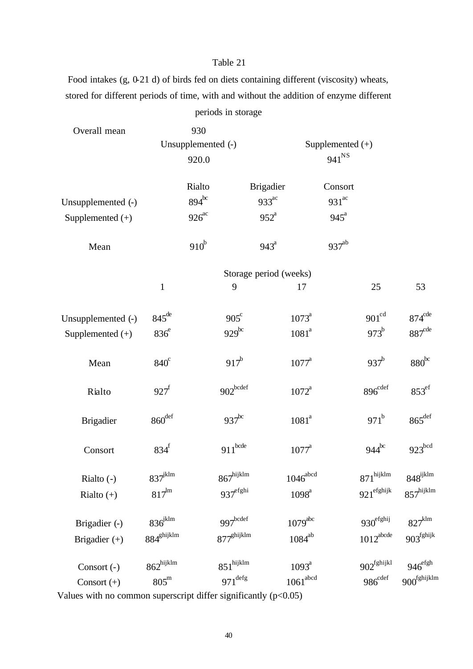Food intakes (g, 0-21 d) of birds fed on diets containing different (viscosity) wheats, stored for different periods of time, with and without the addition of enzyme different

|                    |                       |                    | periods in storage           |                        |                     |                    |                          |                         |
|--------------------|-----------------------|--------------------|------------------------------|------------------------|---------------------|--------------------|--------------------------|-------------------------|
| Overall mean       |                       | 930                |                              |                        |                     |                    |                          |                         |
|                    |                       | Unsupplemented (-) |                              |                        |                     | Supplemented $(+)$ |                          |                         |
|                    |                       | 920.0              |                              |                        |                     | $941^{NS}$         |                          |                         |
|                    |                       | Rialto             |                              | Brigadier              |                     | Consort            |                          |                         |
| Unsupplemented (-) |                       | $894^{bc}$         |                              | $933^{ac}$             |                     | $931^{ac}$         |                          |                         |
| Supplemented $(+)$ |                       | $926^{ac}$         |                              | $952^{\circ}$          |                     | $945^{\circ}$      |                          |                         |
| Mean               |                       | $910^b$            |                              | $943^{\circ}$          |                     | $937^{ab}$         |                          |                         |
|                    |                       |                    |                              | Storage period (weeks) |                     |                    |                          |                         |
|                    | $\mathbf{1}$          |                    | 9                            |                        | 17                  |                    | 25                       | 53                      |
| Unsupplemented (-) | $845^{\text{de}}$     |                    | $905^{\circ}$                |                        | $1073^{\circ}$      |                    | 901 <sup>cd</sup>        | $874^{\text{cde}}$      |
| Supplemented (+)   | $836^e$               |                    | $929^{bc}$                   |                        | 1081 <sup>a</sup>   |                    | $973^b$                  | 887 <sup>cde</sup>      |
| Mean               | $840^\circ$           |                    | $917^b$                      |                        | $1077^a$            |                    | $937^b$                  | $880^{bc}$              |
| Rialto             | $927^f$               |                    | $902^{\hbox{\small{bcdef}}}$ |                        | $1072^a$            |                    | $896^{\rm cdef}$         | $853^{\mathrm{ef}}$     |
| <b>Brigadier</b>   | $860^{\rm def}$       |                    | $937$ <sup>bc</sup>          |                        | 1081 <sup>a</sup>   |                    | $971^b$                  | $865$ <sup>def</sup>    |
| Consort            | $834^f$               |                    | $911^{\rm bede}$             |                        | $1077^{\rm a}$      |                    | $944^{bc}$               | 923 <sup>bcd</sup>      |
| Rialto (-)         | $837^{\rm jklm}$      |                    | $867^{\text{hijklm}}$        |                        | $1046^{\rm abcd}$   |                    | $871^{\text{hijklm}}$    | $848^{\rm ijklm}$       |
| Rialto $(+)$       | $817^{\rm lm}$        |                    | $937^{\rm efghi}$            |                        | $1098^{a}$          |                    | $921^{\rm effshijk}$     | $857^{\text{hijklm}}$   |
| Brigadier (-)      | $836^{\rm jklm}$      |                    | $997$ bcdef                  |                        | $1079^{\text{abc}}$ |                    | $930^{\rm efghij}$       | $827^{\mathrm{klm}}$    |
| Brigadier (+)      | $884^{\rm ghijklm}$   |                    | $877^{\rm{ghijklm}}$         |                        | $1084^{\rm ab}$     |                    | $1012^{\rm abcde}$       | $903^{\rm fghijk}$      |
| Consort (-)        | $862^{\text{hijklm}}$ |                    | $851^{\text{hijklm}}$        |                        | $1093^a$            |                    | $902^{\mathrm{fghijkl}}$ | $946^{\rm efgh}$        |
| Consort $(+)$      | $805^{\rm m}$         |                    | $971^{\deg}$                 |                        | $1061^{\rm abcd}$   |                    | $986^{\mathrm{cdef}}$    | 900 <sup>fghijklm</sup> |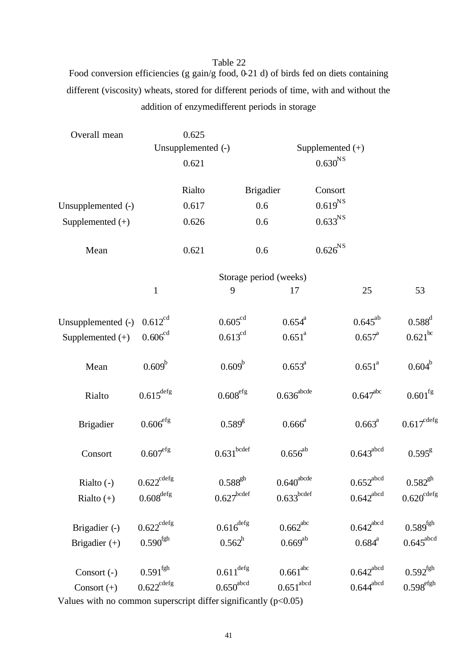Food conversion efficiencies (g gain/g food, 0-21 d) of birds fed on diets containing different (viscosity) wheats, stored for different periods of time, with and without the addition of enzymedifferent periods in storage

| Overall mean       |                          | 0.625  |                                     |                                     |                       |                         |                        |  |
|--------------------|--------------------------|--------|-------------------------------------|-------------------------------------|-----------------------|-------------------------|------------------------|--|
|                    | Unsupplemented (-)       |        |                                     | Supplemented $(+)$                  |                       |                         |                        |  |
|                    |                          | 0.621  |                                     |                                     | $0.630^{NS}$          |                         |                        |  |
|                    |                          | Rialto |                                     | <b>Brigadier</b>                    | Consort               |                         |                        |  |
| Unsupplemented (-) |                          | 0.617  |                                     | 0.6                                 | $0.619^{NS}$          |                         |                        |  |
| Supplemented $(+)$ |                          | 0.626  |                                     | 0.6                                 | $0.633^{NS}$          |                         |                        |  |
| Mean               |                          | 0.621  |                                     | 0.6                                 | $0.626^{\mathrm{NS}}$ |                         |                        |  |
|                    |                          |        |                                     | Storage period (weeks)              |                       |                         |                        |  |
|                    | $\mathbf{1}$             |        | 9                                   | 17                                  |                       | 25                      | 53                     |  |
| Unsupplemented (-) | $0.612^{cd}$             |        | 0.605 <sup>cd</sup>                 | $0.654^a$                           |                       | $0.645^{ab}$            | $0.588^{d}$            |  |
| Supplemented $(+)$ | 0.606 <sup>cd</sup>      |        | $0.613^{cd}$                        | $0.651^a$                           |                       | $0.657^{\text{a}}$      | $0.621^{bc}$           |  |
| Mean               | $0.609^b$                |        | $0.609^{\rm b}$                     | $0.653^{\text{a}}$                  |                       | $0.651^a$               | $0.604^b$              |  |
| Rialto             | $0.615^{\rm{defg}}$      |        | $0.608^{\rm efg}$                   | $0.636^{\rm abcde}$                 |                       | $0.647$ <sup>abc</sup>  | $0.601^{\text{fg}}$    |  |
| <b>Brigadier</b>   | $0.606^{\rm efg}$        |        | $0.589^{g}$                         | $0.666^a$                           |                       | $0.663^{\text{a}}$      | $0.617^{\text{cdefg}}$ |  |
| Consort            | $0.607^{\rm efg}$        |        | $0.631^{\hbox{\small{bcdef}}}$      | $0.656^{ab}$                        |                       | $0.643^{\rm abcd}$      | $0.595^{\rm g}$        |  |
| Rialto $(-)$       | $0.622^{\mathrm{cdefg}}$ |        | $0.588^{gh}$                        | $0.640^{\rm abcde}$                 |                       | $0.652^{\rm abcd}$      | $0.582^{gh}$           |  |
| Rialto $(+)$       | $0.608^{\rm{defg}}$      |        | $0.627^{\hbox{\scriptsize{bcdef}}}$ | $0.633^{\hbox{\scriptsize{bcdef}}}$ |                       | $0.642^{\mathrm{abcd}}$ | $0.620^{\text{cdefg}}$ |  |
| Brigadier (-)      | $0.622^{\mathrm{cdefg}}$ |        | $0.616^{\rm{defg}}$                 | $0.662$ <sup>abc</sup>              |                       | $0.642^{\rm abcd}$      | $0.589^{\mathrm{fgh}}$ |  |
| Brigadier $(+)$    | $0.590^{\mathrm{fgh}}$   |        | $0.562^{\rm h}$                     | $0.669^{\rm ab}$                    |                       | $0.684^{\text{a}}$      | $0.645^{\text{abcd}}$  |  |
| Consort (-)        | $0.591^{\mathrm{fgh}}$   |        | $0.611^{\rm{defg}}$                 | $0.661^{\text{abc}}$                |                       | $0.642^{\rm abcd}$      | $0.592^{\mathrm{fgh}}$ |  |
| Consort (+)        | $0.622^{\mathrm{cdefg}}$ |        | $0.650^{\rm abcd}$                  | 0.651 <sup>abcd</sup>               |                       | $0.644^{\rm abcd}$      | $0.598^{\rm efgh}$     |  |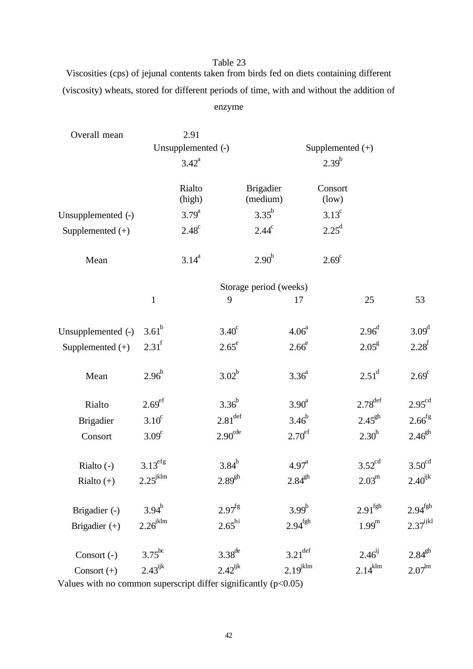Viscosities (cps) of jejunal contents taken from birds fed on diets containing different (viscosity) wheats, stored for different periods of time, with and without the addition of enzyme

| Overall mean       |                                      | 2.91             |                                         |                              |                        |                  |                       |                      |
|--------------------|--------------------------------------|------------------|-----------------------------------------|------------------------------|------------------------|------------------|-----------------------|----------------------|
|                    | Unsupplemented (-)<br>$3.42^{\circ}$ |                  |                                         | Supplemented (+)             |                        |                  |                       |                      |
|                    |                                      |                  |                                         | $2.39^{b}$                   |                        |                  |                       |                      |
|                    |                                      | Rialto<br>(high) |                                         | <b>Brigadier</b><br>(medium) |                        | Consort<br>(low) |                       |                      |
| Unsupplemented (-) |                                      | $3.79^{a}$       |                                         | $3.35^{b}$                   |                        | $3.13^{\circ}$   |                       |                      |
| Supplemented (+)   |                                      | $2.48^c$         |                                         | $2.44^c$                     |                        | $2.25^{\rm d}$   |                       |                      |
| Mean               |                                      | $3.14^{a}$       |                                         | 2.90 <sup>b</sup>            |                        | $2.69^\circ$     |                       |                      |
|                    | Storage period (weeks)               |                  |                                         |                              |                        |                  |                       |                      |
|                    | $\mathbf{1}$                         |                  | 9                                       |                              | 17                     |                  | 25                    | 53                   |
| Unsupplemented (-) | $3.61^b$                             |                  | $3.40^\circ$                            |                              | 4.06 <sup>a</sup>      |                  | 2.96 <sup>d</sup>     | $3.09^{d}$           |
| Supplemented (+)   | $2.31^f$                             |                  | $2.65^e$                                |                              | 2.66 <sup>e</sup>      |                  | $2.05^{\rm g}$        | $2.28^{f}$           |
| Mean               | $2.96^{b}$                           |                  | $3.02^b$                                |                              | 3.36 <sup>a</sup>      |                  | $2.51^d$              | $2.69^{\circ}$       |
| Rialto             | 2.69 <sup>ef</sup>                   |                  | $3.36^{b}$                              |                              | 3.90 <sup>a</sup>      |                  | $2.78^{\text{def}}$   | 2.95 <sup>cd</sup>   |
| <b>Brigadier</b>   | $3.10^{\circ}$                       |                  | $2.81^{\rm def}$                        |                              | $3.46^{b}$             |                  | $2.45^{gh}$           | $2.66$ <sup>fg</sup> |
| Consort            | 3.09 <sup>c</sup>                    |                  | $2.90^{\text{cde}}$                     |                              | $2.70^{\text{ef}}$     |                  | 2.30 <sup>h</sup>     | $2.46^{gh}$          |
| Rialto $(-)$       | $3.13^{\text{efg}}$                  |                  | $3.84^{b}$                              |                              | $4.97^{\circ}$         |                  | $3.52^{\text{cd}}$    | $3.50^{\text{cd}}$   |
| Rialto $(+)$       | $2.25^{\text{jklm}}$                 |                  | $2.89^{gh}$                             |                              | $2.84^{gh}$            |                  | $2.03^{\rm m}$        | $2.40^{ijk}$         |
| Brigadier (-)      | $3.94^{b}$                           |                  | $2.97^{\mathrm{fg}}$                    |                              | $3.99^b$               |                  | 2.91 <sup>fgh</sup>   | 2.94 <sup>fgh</sup>  |
| Brigadier (+)      | $2.26^{\text{jklm}}$                 |                  | $2.65^{\text{hi}}$                      |                              | $2.94^{\mathrm{fgh}}$  |                  | $1.99^{\rm m}$        | $2.37^{\rm i jkl}$   |
| Consort (-)        | $3.75^{bc}$                          |                  | $3.38^{\text{de}}$                      |                              | $3.21^{\text{def}}$    |                  | $2.46^{ij}$           | $2.84^{\rm gh}$      |
| Consort $(+)$      | $2.43^{ijk}$                         |                  | $2.42^{\mathrm{i}\mathrm{j}\mathrm{k}}$ |                              | $2.19$ <sup>jklm</sup> |                  | $2.14$ <sup>klm</sup> | $2.07^{\rm lm}$      |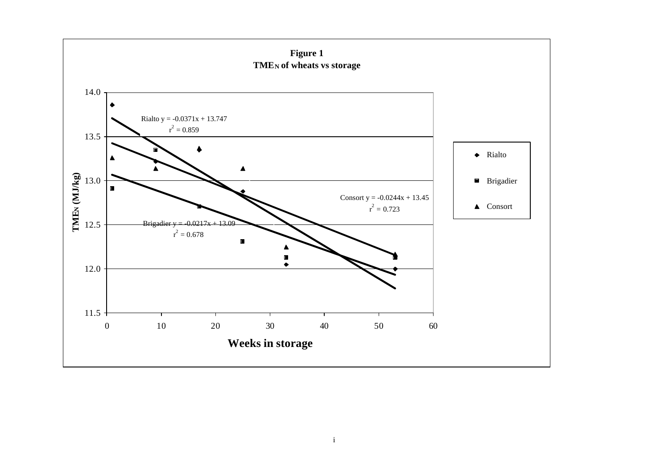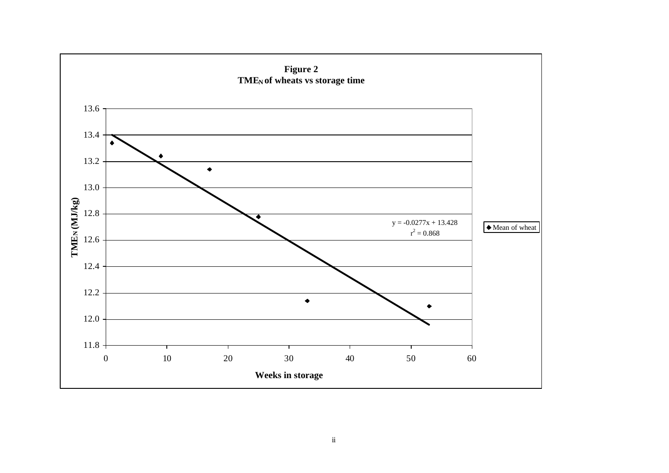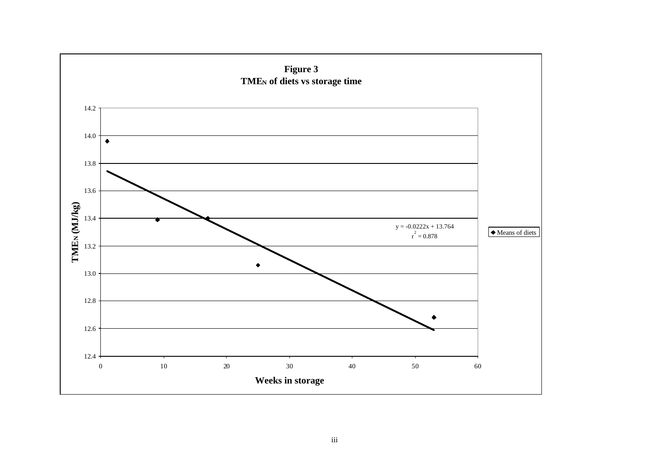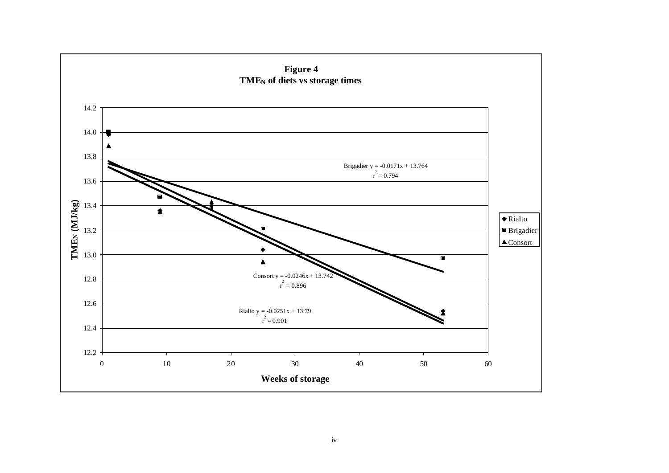